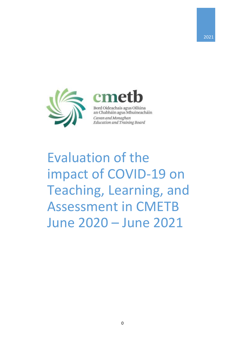



# Evaluation of the impact of COVID-19 on Teaching, Learning, and Assessment in CMETB June 2020 – June 2021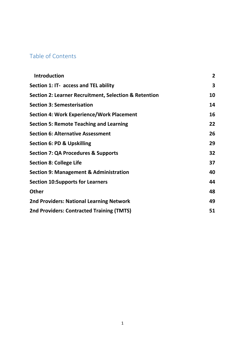## Table of Contents

| <b>Introduction</b>                                              | $\mathbf{2}$ |
|------------------------------------------------------------------|--------------|
| Section 1: IT- access and TEL ability                            | 3            |
| <b>Section 2: Learner Recruitment, Selection &amp; Retention</b> | 10           |
| <b>Section 3: Semesterisation</b>                                | 14           |
| <b>Section 4: Work Experience/Work Placement</b>                 | 16           |
| <b>Section 5: Remote Teaching and Learning</b>                   | 22           |
| <b>Section 6: Alternative Assessment</b>                         | 26           |
| <b>Section 6: PD &amp; Upskilling</b>                            | 29           |
| <b>Section 7: QA Procedures &amp; Supports</b>                   | 32           |
| <b>Section 8: College Life</b>                                   | 37           |
| <b>Section 9: Management &amp; Administration</b>                | 40           |
| <b>Section 10:Supports for Learners</b>                          | 44           |
| <b>Other</b>                                                     | 48           |
| <b>2nd Providers: National Learning Network</b>                  | 49           |
| <b>2nd Providers: Contracted Training (TMTS)</b>                 | 51           |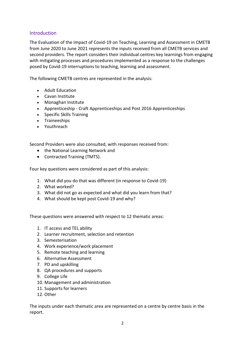### <span id="page-2-0"></span>Introduction

The Evaluation of the Impact of Covid-19 on Teaching, Learning and Assessment in CMETB from June 2020 to June 2021 represents the inputs received from all CMETB services and second providers. The report considers their individual centres key learnings from engaging with mitigating processes and procedures implemented as a response to the challenges posed by Covid-19 interruptions to teaching, learning and assessment.

The following CMETB centres are represented in the analysis:

- Adult Education
- Cavan Institute
- Monaghan Institute
- Apprenticeship Craft Apprenticeships and Post 2016 Apprenticeships
- Specific Skills Training
- Traineeships
- Youthreach

Second Providers were also consulted, with responses received from:

- the National Learning Network and
- Contracted Training (TMTS).

Four key questions were considered as part of this analysis:

- 1. What did you do that was different (in response to Covid-19)
- 2. What worked?
- 3. What did not go as expected and what did you learn from that?
- 4. What should be kept post Covid-19 and why?

These questions were answered with respect to 12 thematic areas:

- 1. IT access and TEL ability
- 2. Learner recruitment, selection and retention
- 3. Semesterisation
- 4. Work experience/work placement
- 5. Remote teaching and learning
- 6. Alternative Assessment
- 7. PD and upskilling
- 8. QA procedures and supports
- 9. College Life
- 10. Management and administration
- 11. Supports for learners
- 12. Other

The inputs under each thematic area are represented on a centre by centre basis in the report.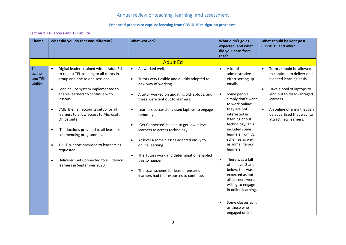#### **Enhanced process to capture learning from COVID 19 mitigation processes.**

#### **Section 1: IT- access and TEL ability**

<span id="page-3-0"></span>

| <b>Theme</b>                          | What did you do that was different?                                                                                                                                                                                                                                                                                                                                                                                                                                                                                                                                  | <b>What worked?</b>                                                                                                                                                                                                                                                                                                                                                                                                                                                                                                                                                                                                                              | What didn't go as<br>expected, and what                                                                                                                                                                                                                                                                                                                                                                                                                                   | What should be kept post<br>COVID 19 and why?                                                                                                                                                                                                   |
|---------------------------------------|----------------------------------------------------------------------------------------------------------------------------------------------------------------------------------------------------------------------------------------------------------------------------------------------------------------------------------------------------------------------------------------------------------------------------------------------------------------------------------------------------------------------------------------------------------------------|--------------------------------------------------------------------------------------------------------------------------------------------------------------------------------------------------------------------------------------------------------------------------------------------------------------------------------------------------------------------------------------------------------------------------------------------------------------------------------------------------------------------------------------------------------------------------------------------------------------------------------------------------|---------------------------------------------------------------------------------------------------------------------------------------------------------------------------------------------------------------------------------------------------------------------------------------------------------------------------------------------------------------------------------------------------------------------------------------------------------------------------|-------------------------------------------------------------------------------------------------------------------------------------------------------------------------------------------------------------------------------------------------|
|                                       |                                                                                                                                                                                                                                                                                                                                                                                                                                                                                                                                                                      |                                                                                                                                                                                                                                                                                                                                                                                                                                                                                                                                                                                                                                                  | did you learn from<br>that?                                                                                                                                                                                                                                                                                                                                                                                                                                               |                                                                                                                                                                                                                                                 |
|                                       |                                                                                                                                                                                                                                                                                                                                                                                                                                                                                                                                                                      | <b>Adult Ed</b>                                                                                                                                                                                                                                                                                                                                                                                                                                                                                                                                                                                                                                  |                                                                                                                                                                                                                                                                                                                                                                                                                                                                           |                                                                                                                                                                                                                                                 |
| $IT-$<br>access<br>and TEL<br>ability | Digital leaders trained within Adult Ed<br>to rollout TEL training to all tutors in<br>group and one to one sessions.<br>Loan device system implemented to<br>$\bullet$<br>enable learners to continue with<br>lessons.<br>CMETB email accounts setup for all<br>$\bullet$<br>learners to allow access to Microsoft<br>Office suite.<br>IT Inductions provided to all learners<br>$\bullet$<br>commencing programmes.<br>1:1 IT support provided to learners as<br>requested.<br>Delivered Get Connected to all literacy<br>$\bullet$<br>learners in September 2020. | All worked well.<br>$\bullet$<br>Tutors very flexible and quickly adopted to<br>$\bullet$<br>new way of working.<br>A tutor worked on updating old laptops, and<br>$\bullet$<br>these were lent out to learners.<br>Learners successfully used laptops to engage<br>$\bullet$<br>remotely.<br>'Get Connected' helped to get lower level<br>$\bullet$<br>learners to access technology.<br>At level 4 some classes adapted easily to<br>$\bullet$<br>online learning.<br>The Tutors work and determination enabled<br>$\bullet$<br>this to happen.<br>The Loan scheme for learner ensured<br>$\bullet$<br>learners had the resources to continue. | A lot of<br>$\bullet$<br>administrative<br>effort setting up<br>emails.<br>Some people<br>$\bullet$<br>simply don't want<br>to work online:<br>they are not<br>interested in<br>learning about<br>technology. This<br>included some<br>learners from CE<br>schemes as well<br>as some literacy<br>learners.<br>There was a fall<br>$\bullet$<br>off in level 3 and<br>below, this was<br>expected as not<br>all learners were<br>willing to engage<br>in online learning. | Tutors should be allowed<br>to continue to deliver on a<br>blended learning basis.<br>Have a pool of laptops to<br>lend out to disadvantaged<br>learners.<br>An online offering that can<br>be advertised that way, to<br>attract new learners. |
|                                       |                                                                                                                                                                                                                                                                                                                                                                                                                                                                                                                                                                      |                                                                                                                                                                                                                                                                                                                                                                                                                                                                                                                                                                                                                                                  | Some classes split<br>as those who<br>engaged online                                                                                                                                                                                                                                                                                                                                                                                                                      |                                                                                                                                                                                                                                                 |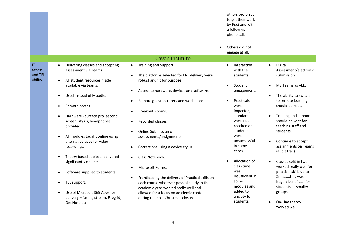|                                       |                                                                                                                                                                                                                                                                                                                                                                                                                                                                                                                                                                                                                                                                    |                                                                                                                                                                                                                                                                                                                                                                                                                                                                                                                                                                                                                                                                                                                                               | others preferred<br>to get their work<br>by Post and with<br>a follow up<br>phone call.                                                                                                                                                                                                                                                                     |                                                                                                                                                                                                                                                                                                                                                                                                                                                                                                                                                  |
|---------------------------------------|--------------------------------------------------------------------------------------------------------------------------------------------------------------------------------------------------------------------------------------------------------------------------------------------------------------------------------------------------------------------------------------------------------------------------------------------------------------------------------------------------------------------------------------------------------------------------------------------------------------------------------------------------------------------|-----------------------------------------------------------------------------------------------------------------------------------------------------------------------------------------------------------------------------------------------------------------------------------------------------------------------------------------------------------------------------------------------------------------------------------------------------------------------------------------------------------------------------------------------------------------------------------------------------------------------------------------------------------------------------------------------------------------------------------------------|-------------------------------------------------------------------------------------------------------------------------------------------------------------------------------------------------------------------------------------------------------------------------------------------------------------------------------------------------------------|--------------------------------------------------------------------------------------------------------------------------------------------------------------------------------------------------------------------------------------------------------------------------------------------------------------------------------------------------------------------------------------------------------------------------------------------------------------------------------------------------------------------------------------------------|
|                                       |                                                                                                                                                                                                                                                                                                                                                                                                                                                                                                                                                                                                                                                                    |                                                                                                                                                                                                                                                                                                                                                                                                                                                                                                                                                                                                                                                                                                                                               | Others did not<br>engage at all.                                                                                                                                                                                                                                                                                                                            |                                                                                                                                                                                                                                                                                                                                                                                                                                                                                                                                                  |
|                                       |                                                                                                                                                                                                                                                                                                                                                                                                                                                                                                                                                                                                                                                                    | <b>Cavan Institute</b>                                                                                                                                                                                                                                                                                                                                                                                                                                                                                                                                                                                                                                                                                                                        |                                                                                                                                                                                                                                                                                                                                                             |                                                                                                                                                                                                                                                                                                                                                                                                                                                                                                                                                  |
| $IT-$<br>access<br>and TEL<br>ability | Delivering classes and accepting<br>$\bullet$<br>assessment via Teams.<br>All student resources made<br>$\bullet$<br>available via teams.<br>Used instead of Moodle.<br>$\bullet$<br>Remote access.<br>$\bullet$<br>Hardware - surface pro, second<br>$\bullet$<br>screen, stylus, headphones<br>provided.<br>All modules taught online using<br>$\bullet$<br>alternative apps for video<br>recordings.<br>Theory based subjects delivered<br>$\bullet$<br>significantly on-line.<br>Software supplied to students.<br>$\bullet$<br>TEL support.<br>$\bullet$<br>Use of Microsoft 365 Apps for<br>$\bullet$<br>delivery - forms, stream, Flipgrid,<br>OneNote etc. | Training and Support.<br>$\bullet$<br>The platforms selected for ERL delivery were<br>$\bullet$<br>robust and fit for purpose.<br>Access to hardware, devices and software.<br>$\bullet$<br>Remote guest lecturers and workshops.<br>$\bullet$<br>Breakout Rooms.<br>$\bullet$<br>Recorded classes.<br>$\bullet$<br>Online Submission of<br>$\bullet$<br>assessments/assignments.<br>Corrections using a device stylus.<br>$\bullet$<br>Class Notebook.<br>$\bullet$<br>Microsoft Forms.<br>$\bullet$<br>Frontloading the delivery of Practical skills on<br>$\bullet$<br>each course wherever possible early in the<br>academic year worked really well and<br>allowed for a focus on academic content<br>during the post Christmas closure. | Interaction<br>$\bullet$<br>with the<br>students.<br>Student<br>$\bullet$<br>engagement.<br><b>Practicals</b><br>were<br>impacted,<br>standards<br>were not<br>reached and<br>students<br>were<br>unsuccessful<br>in some<br>cases.<br>Allocation of<br>class time<br>was<br>insufficient in<br>some<br>modules and<br>added to<br>anxiety for<br>students. | Digital<br>$\bullet$<br>Assessment/electronic<br>submission.<br>MS Teams as VLE.<br>$\bullet$<br>The ability to switch<br>$\bullet$<br>to remote learning<br>should be kept.<br>Training and support<br>$\bullet$<br>should be kept for<br>teaching staff and<br>students.<br>Continue to accept<br>assignments on Teams<br>(audit trail).<br>Classes split in two<br>$\bullet$<br>worked really well for<br>practical skills up to<br>Xmasthis was<br>hugely beneficial for<br>students as smaller<br>groups.<br>On-Line theory<br>worked well. |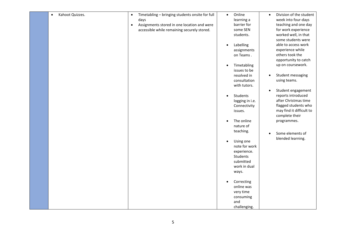| Kahoot Quizzes.<br>$\bullet$ | Timetabling - bringing students onsite for full<br>$\bullet$ | Online<br>$\bullet$      | Division of the student<br>$\bullet$ |
|------------------------------|--------------------------------------------------------------|--------------------------|--------------------------------------|
|                              | days                                                         | learning a               | week into four-days                  |
|                              | Assignments stored in one location and were<br>$\bullet$     | barrier for              | teaching and one day                 |
|                              | accessible while remaining securely stored.                  | some SEN                 | for work experience                  |
|                              |                                                              | students.                | worked well, in that                 |
|                              |                                                              |                          | some students were                   |
|                              |                                                              | Labelling<br>$\bullet$   | able to access work                  |
|                              |                                                              | assignments              | experience while                     |
|                              |                                                              | on Teams.                | others took the                      |
|                              |                                                              |                          | opportunity to catch                 |
|                              |                                                              | Timetabling<br>$\bullet$ | up on coursework.                    |
|                              |                                                              | issues to be             |                                      |
|                              |                                                              | resolved in              | Student messaging<br>$\bullet$       |
|                              |                                                              | consultation             | using teams.                         |
|                              |                                                              | with tutors.             |                                      |
|                              |                                                              |                          | Student engagement<br>$\bullet$      |
|                              |                                                              | Students<br>$\bullet$    | reports introduced                   |
|                              |                                                              | logging in i.e.          | after Christmas time                 |
|                              |                                                              | Connectivity             | flagged students who                 |
|                              |                                                              | issues.                  | may find it difficult to             |
|                              |                                                              |                          | complete their                       |
|                              |                                                              | The online<br>$\bullet$  | programmes.                          |
|                              |                                                              | nature of                |                                      |
|                              |                                                              | teaching.                |                                      |
|                              |                                                              |                          | Some elements of<br>$\bullet$        |
|                              |                                                              | Using one<br>$\bullet$   | blended learning.                    |
|                              |                                                              | note for work            |                                      |
|                              |                                                              | experience.              |                                      |
|                              |                                                              | Students                 |                                      |
|                              |                                                              | submitted                |                                      |
|                              |                                                              | work in dual             |                                      |
|                              |                                                              | ways.                    |                                      |
|                              |                                                              |                          |                                      |
|                              |                                                              | Correcting<br>$\bullet$  |                                      |
|                              |                                                              | online was               |                                      |
|                              |                                                              | very time                |                                      |
|                              |                                                              | consuming                |                                      |
|                              |                                                              | and                      |                                      |
|                              |                                                              | challenging.             |                                      |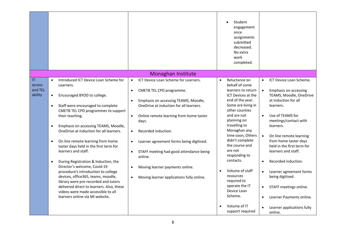|                                       |                                                                                                                                                                                                                                                                                                                                                                                                                                                                                                                                                                                                                                                                                                                                                               | Monaghan Institute                                                                                                                                                                                                                                                                                                                                                                                                                                                                                                                    | Student<br>engagement<br>once<br>assignments<br>submitted<br>decreased.<br>No extra<br>work<br>completed.                                                                                                                                                                                                                                                                                                                                                    |                                                                                                                                                                                                                                                                                                                                                                                                                                                                                                              |
|---------------------------------------|---------------------------------------------------------------------------------------------------------------------------------------------------------------------------------------------------------------------------------------------------------------------------------------------------------------------------------------------------------------------------------------------------------------------------------------------------------------------------------------------------------------------------------------------------------------------------------------------------------------------------------------------------------------------------------------------------------------------------------------------------------------|---------------------------------------------------------------------------------------------------------------------------------------------------------------------------------------------------------------------------------------------------------------------------------------------------------------------------------------------------------------------------------------------------------------------------------------------------------------------------------------------------------------------------------------|--------------------------------------------------------------------------------------------------------------------------------------------------------------------------------------------------------------------------------------------------------------------------------------------------------------------------------------------------------------------------------------------------------------------------------------------------------------|--------------------------------------------------------------------------------------------------------------------------------------------------------------------------------------------------------------------------------------------------------------------------------------------------------------------------------------------------------------------------------------------------------------------------------------------------------------------------------------------------------------|
|                                       |                                                                                                                                                                                                                                                                                                                                                                                                                                                                                                                                                                                                                                                                                                                                                               |                                                                                                                                                                                                                                                                                                                                                                                                                                                                                                                                       |                                                                                                                                                                                                                                                                                                                                                                                                                                                              |                                                                                                                                                                                                                                                                                                                                                                                                                                                                                                              |
| $IT-$<br>access<br>and TEL<br>ability | Introduced ICT Device Loan Scheme for<br>Learners.<br>Encouraged BYOD to college.<br>$\bullet$<br>Staff were encouraged to complete<br>$\bullet$<br>CMETB TEL CPD programmes to support<br>their teaching.<br>Emphasis on accessing TEAMS, Moodle,<br>$\bullet$<br>OneDrive at induction for all learners.<br>On line remote learning from home<br>$\bullet$<br>taster days held in the first term for<br>learners and staff.<br>During Registration & Induction, the<br>$\bullet$<br>Director's welcome, Covid-19<br>procedure's introduction to college<br>devices, office365, teams, moodle,<br>library were pre-recorded and tutors<br>delivered direct to learners. Also, these<br>videos were made accessible to all<br>learners online via MI website. | ICT Device Loan Scheme for Learners.<br>$\bullet$<br>CMETB TEL CPD programme.<br>$\bullet$<br>Emphasis on accessing TEAMS, Moodle,<br>$\bullet$<br>OneDrive at induction for all learners.<br>Online remote learning from home taster<br>$\bullet$<br>days.<br>Recorded induction.<br>$\bullet$<br>Learner agreement forms being digitised.<br>$\bullet$<br>STAFF meeting had good attendance being<br>$\bullet$<br>online.<br>Moving learner payments online.<br>$\bullet$<br>Moving learner applications fully online.<br>$\bullet$ | Reluctance on<br>$\bullet$<br>behalf of some<br>learners to return<br><b>ICT Devices at the</b><br>end of the year.<br>Some are living in<br>other counties<br>and are not<br>planning on<br>travelling to<br>Monaghan any<br>time soon, Others<br>didn't complete<br>the course and<br>are not<br>responding to<br>contacts.<br>Volume of staff<br>resources<br>required to<br>operate the IT<br>Device Loan<br>Scheme.<br>Volume of IT<br>support required | ICT Device Loan Scheme.<br>$\bullet$<br>Emphasis on accessing<br>$\bullet$<br>TEAMS, Moodle, OneDrive<br>at induction for all<br>learners.<br>Use of TEAMS for<br>$\bullet$<br>meetings/contact with<br>learners.<br>On line remote learning<br>from home taster days<br>held in the first term for<br>learners and staff.<br>Recorded induction.<br>$\bullet$<br>Learner agreement forms<br>being digitised.<br>STAFF meetings online.<br>Learner Payments online.<br>Learner applications fully<br>online. |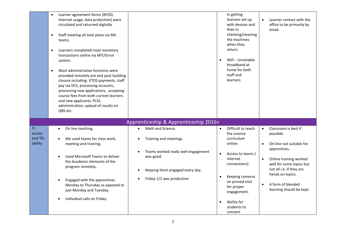|                                     | Learner agreement forms (BYOD,<br>$\bullet$<br>Internet usage, data protection) were<br>circulated and returned digitally.<br>Staff meeting all took place via MS<br>$\bullet$<br>teams.<br>Learners completed most monetary<br>$\bullet$<br>transactions online via MIT/Enrol<br>system.<br>Most administrative functions were<br>$\bullet$<br>provided remotely pre and post building<br>closure including: VTOS payments, staff<br>pay via DCS, processing accounts,<br>processing new applications, accepting<br>course fees from both current learners<br>and new applicants, PLSS<br>administration, upload of results on<br>QBS etc. |                                                                                                                                                                                                                        | in getting<br>learners set up<br>with devices and<br>then in<br>checking/cleaning<br>the machines<br>when they<br>return.<br>WiFi - Unreliable<br>$\bullet$<br>broadband at<br>home for both<br>staff and<br>learners.                                                       | Learner contact with the<br>office to be primarily by<br>email.                                                                                                                                                                                   |
|-------------------------------------|---------------------------------------------------------------------------------------------------------------------------------------------------------------------------------------------------------------------------------------------------------------------------------------------------------------------------------------------------------------------------------------------------------------------------------------------------------------------------------------------------------------------------------------------------------------------------------------------------------------------------------------------|------------------------------------------------------------------------------------------------------------------------------------------------------------------------------------------------------------------------|------------------------------------------------------------------------------------------------------------------------------------------------------------------------------------------------------------------------------------------------------------------------------|---------------------------------------------------------------------------------------------------------------------------------------------------------------------------------------------------------------------------------------------------|
| IT-<br>access<br>and TEL<br>ability | On line teaching.<br>$\bullet$<br>We used teams for class work,<br>$\bullet$<br>meeting and training.<br>Used Microsoft Teams to deliver<br>the Academic elements of the<br>program remotely.<br>Engaged with the apprentices<br>Monday to Thursday as opposed to<br>just Monday and Tuesday.<br>Individual calls on Friday.                                                                                                                                                                                                                                                                                                                | Apprenticeship & Apprenticeship 2016+<br>Math and Science.<br>$\bullet$<br>Training and meetings.<br>Teams worked really well engagement<br>was good.<br>Keeping them engaged every day.<br>Friday 1/1 was productive. | Difficult to teach<br>$\bullet$<br>the science<br>curriculum<br>online.<br>Access to teams (<br>$\bullet$<br>internet<br>connections).<br>Keeping cameras<br>$\bullet$<br>on proved vital<br>for proper<br>engagement.<br>Ability for<br>$\bullet$<br>students to<br>connect | Classroom is best if<br>$\bullet$<br>possible.<br>On-line not suitable for<br>apprentices.<br>Online training worked<br>well for some topics but<br>not all i.e. if they are<br>hands on topics.<br>A form of blended<br>learning should be kept. |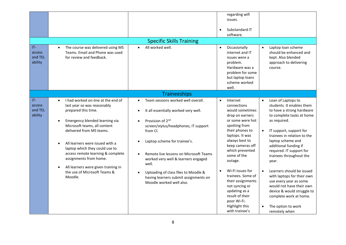| IT-<br>access<br>and TEL<br>ability   | The course was delivered using MS<br>Teams. Email and Phone was used<br>for review and feedback.                                                                                                                                                                                                                                                                                                                          | <b>Specific Skills Training</b><br>All worked well.<br>$\bullet$                                                                                                                                                                                                                                                                                                                                                                                                       | regarding wifi<br>issues.<br>Substandard IT<br>$\bullet$<br>software.<br>Occasionally<br>$\bullet$<br>internet and IT<br>issues were a<br>problem.<br>Hardware was a<br>problem for some<br>but laptop loans<br>scheme worked<br>well.                                                                                                                                                                          | Laptop loan scheme<br>$\bullet$<br>should be enhanced and<br>kept. Also blended<br>approach to delivering<br>course.                                                                                                                                                                                                                                                                                                                                                                                                           |
|---------------------------------------|---------------------------------------------------------------------------------------------------------------------------------------------------------------------------------------------------------------------------------------------------------------------------------------------------------------------------------------------------------------------------------------------------------------------------|------------------------------------------------------------------------------------------------------------------------------------------------------------------------------------------------------------------------------------------------------------------------------------------------------------------------------------------------------------------------------------------------------------------------------------------------------------------------|-----------------------------------------------------------------------------------------------------------------------------------------------------------------------------------------------------------------------------------------------------------------------------------------------------------------------------------------------------------------------------------------------------------------|--------------------------------------------------------------------------------------------------------------------------------------------------------------------------------------------------------------------------------------------------------------------------------------------------------------------------------------------------------------------------------------------------------------------------------------------------------------------------------------------------------------------------------|
|                                       |                                                                                                                                                                                                                                                                                                                                                                                                                           | Traineeships                                                                                                                                                                                                                                                                                                                                                                                                                                                           |                                                                                                                                                                                                                                                                                                                                                                                                                 |                                                                                                                                                                                                                                                                                                                                                                                                                                                                                                                                |
| $IT-$<br>access<br>and TEL<br>ability | I had worked on-line at the end of<br>$\bullet$<br>last year so was reasonably<br>prepared this time.<br>Emergency blended learning via<br>Microsoft teams, all content<br>delivered from MS teams.<br>All learners were issued with a<br>laptop which they could use to<br>access remote learning & complete<br>assignments from home.<br>All learners were given training in<br>the use of Microsoft Teams &<br>Moodle. | Team sessions worked well overall.<br>$\bullet$<br>It all essentially worked very well.<br>$\bullet$<br>Provision of 2 <sup>nd</sup><br>$\bullet$<br>screen/stylus/headphones, IT support<br>from CI.<br>Laptop scheme for trainee's.<br>$\bullet$<br>Remote live lessons on Microsoft Teams<br>worked very well & learners engaged<br>well.<br>Uploading of class files to Moodle &<br>$\bullet$<br>having learners submit assignments on<br>Moodle worked well also. | Internet<br>$\bullet$<br>connections<br>would sometimes<br>drop on earners<br>or some were hot<br>spotting from<br>their phones to<br>laptops. It was<br>always best to<br>keep cameras off<br>which prevented<br>some of the<br>outage.<br>Wi-Fi issues for<br>trainees. Some of<br>their assignments<br>not syncing or<br>updating as a<br>result of their<br>poor Wi-Fi.<br>Highlight this<br>with trainee's | Loan of Laptops to<br>students. It enables them<br>to have a strong hardware<br>to complete tasks at home<br>as required.<br>IT support, support for<br>$\bullet$<br>trainees in relation to the<br>laptop scheme and<br>additional funding if<br>required. IT support for<br>trainees throughout the<br>year.<br>Learners should be issued<br>with laptops for their own<br>use every year as some<br>would not have their own<br>device & would struggle to<br>complete work at home.<br>The option to work<br>remotely when |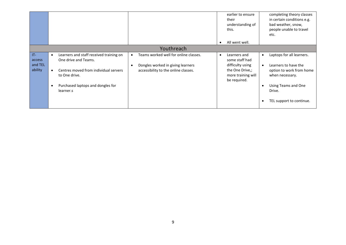|                                       |                                                                                                                                                                             |                                                                                                                                 | $\bullet$ | earlier to ensure<br>their<br>understanding of<br>this.<br>All went well.                                   |           | completing theory classes<br>in certain conditions e.g.<br>bad weather, snow,<br>people unable to travel<br>etc.                                              |
|---------------------------------------|-----------------------------------------------------------------------------------------------------------------------------------------------------------------------------|---------------------------------------------------------------------------------------------------------------------------------|-----------|-------------------------------------------------------------------------------------------------------------|-----------|---------------------------------------------------------------------------------------------------------------------------------------------------------------|
|                                       |                                                                                                                                                                             | Youthreach                                                                                                                      |           |                                                                                                             |           |                                                                                                                                                               |
| $IT-$<br>access<br>and TEL<br>ability | Learners and staff received training on<br>One drive and Teams.<br>Centres moved from individual servers<br>to One drive.<br>Purchased laptops and dongles for<br>learner.s | Teams worked well for online classes.<br>Dongles worked in giving learners<br>$\bullet$<br>accessibility to the online classes. | $\bullet$ | Learners and<br>some staff had<br>difficulty using<br>the One Drive,;<br>more training will<br>be required. | $\bullet$ | Laptops for all learners.<br>Learners to have the<br>option to work from home<br>when necessary.<br>Using Teams and One<br>Drive.<br>TEL support to continue. |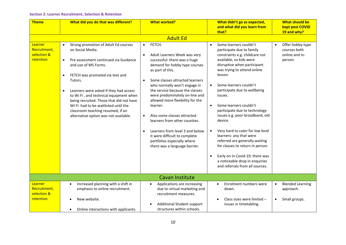#### **Section 2: Learner Recruitment, Selection & Retention**

<span id="page-10-0"></span>

| <b>Theme</b>                                        | What did you do that was different?                                                                                                                                                                                                                                                                                                                                                                                                                                               | <b>What worked?</b>                                                                                                                                                                                                                                                                                                                                                                                                                                                                                                                                            | What didn't go as expected,<br>and what did you learn from<br>that?                                                                                                                                                                                                                                                                                                                                                                                                                                                                                                                                                                                                      | <b>What should be</b><br><b>kept post COVID</b><br>19 and why?                  |
|-----------------------------------------------------|-----------------------------------------------------------------------------------------------------------------------------------------------------------------------------------------------------------------------------------------------------------------------------------------------------------------------------------------------------------------------------------------------------------------------------------------------------------------------------------|----------------------------------------------------------------------------------------------------------------------------------------------------------------------------------------------------------------------------------------------------------------------------------------------------------------------------------------------------------------------------------------------------------------------------------------------------------------------------------------------------------------------------------------------------------------|--------------------------------------------------------------------------------------------------------------------------------------------------------------------------------------------------------------------------------------------------------------------------------------------------------------------------------------------------------------------------------------------------------------------------------------------------------------------------------------------------------------------------------------------------------------------------------------------------------------------------------------------------------------------------|---------------------------------------------------------------------------------|
|                                                     |                                                                                                                                                                                                                                                                                                                                                                                                                                                                                   | <b>Adult Ed</b>                                                                                                                                                                                                                                                                                                                                                                                                                                                                                                                                                |                                                                                                                                                                                                                                                                                                                                                                                                                                                                                                                                                                                                                                                                          |                                                                                 |
| Learner<br>Recruitment,<br>selection &<br>retention | Strong promotion of Adult Ed courses<br>$\bullet$<br>on Social Media.<br>Pre assessment continued via Guidance<br>$\bullet$<br>and use of MS Forms.<br>FETCH was promoted via text and<br>$\bullet$<br>Tutors.<br>Learners were asked if they had access<br>$\bullet$<br>to Wi Fi, and technical equipment when<br>being recruited. Those that did not have<br>WI FI had to be waitlisted until the<br>classroom teaching resumed, if an<br>alternative option was not available. | FETCH.<br>$\bullet$<br>Adult Learners Week was very<br>$\bullet$<br>successful: there was a huge<br>demand for hobby type courses<br>as part of this.<br>Some classes attracted learners<br>who normally won't engage in<br>the service because the classes<br>were predominately on-line and<br>allowed more flexibility for the<br>learner.<br>Also some classes attracted<br>$\bullet$<br>learners from other counties.<br>Learners from level 3 and below<br>it were difficult to complete<br>portfolios especially where<br>there was a language barrier. | Some learners couldn't<br>$\bullet$<br>participate due to family<br>constraints e.g. childcare not<br>available, so kids were<br>disruptive when participant<br>was trying to attend online<br>lesson.<br>Some learners couldn't<br>participate due to wellbeing<br>issues.<br>Some learners couldn't<br>$\bullet$<br>participate due to technology<br>issues e.g. poor broadband, old<br>device.<br>Very hard to cater for low level<br>$\bullet$<br>learners: any that were<br>referred are generally waiting<br>for classes to return in person.<br>Early on in Covid-19, there was<br>$\bullet$<br>a noticeable drop in enquiries<br>and referrals from all sources. | Offer hobby-type<br>$\bullet$<br>courses both<br>online and in-<br>person.      |
|                                                     |                                                                                                                                                                                                                                                                                                                                                                                                                                                                                   | <b>Cavan Institute</b>                                                                                                                                                                                                                                                                                                                                                                                                                                                                                                                                         |                                                                                                                                                                                                                                                                                                                                                                                                                                                                                                                                                                                                                                                                          |                                                                                 |
| Learner<br>Recruitment,<br>selection &<br>retention | Increased planning with a shift in<br>$\bullet$<br>emphasis to online recruitment.<br>New website.<br>Online interactions with applicants.<br>$\bullet$                                                                                                                                                                                                                                                                                                                           | Applications are increasing<br>$\bullet$<br>due to virtual marketing and<br>recruitment measures.<br>Additional Student support<br>structures within schools.                                                                                                                                                                                                                                                                                                                                                                                                  | Enrolment numbers were<br>$\bullet$<br>down.<br>Class sizes were limited -<br>issues in timetabling.                                                                                                                                                                                                                                                                                                                                                                                                                                                                                                                                                                     | <b>Blended Learning</b><br>$\bullet$<br>approach.<br>Small groups.<br>$\bullet$ |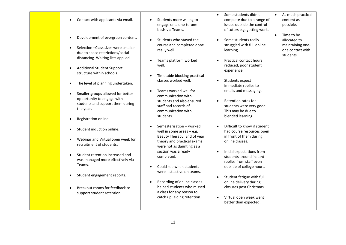| Contact with applicants via email.                                                                                                                                                                                                                                                                                                                                             | Students more willing to<br>engage on a one-to-one<br>basis via Teams.                                                                                                                                                                                             | Some students didn't<br>$\bullet$<br>complete due to a range of<br>issues outside the control<br>of tutors e.g. getting work.                                                                                                                                                                                 | As much practical<br>$\bullet$<br>content as<br>possible.                                    |
|--------------------------------------------------------------------------------------------------------------------------------------------------------------------------------------------------------------------------------------------------------------------------------------------------------------------------------------------------------------------------------|--------------------------------------------------------------------------------------------------------------------------------------------------------------------------------------------------------------------------------------------------------------------|---------------------------------------------------------------------------------------------------------------------------------------------------------------------------------------------------------------------------------------------------------------------------------------------------------------|----------------------------------------------------------------------------------------------|
| Development of evergreen content.<br>Selection - Class sizes were smaller<br>due to space restrictions/social<br>distancing. Waiting lists applied.<br><b>Additional Student Support</b><br>structure within schools.<br>The level of planning undertaken.<br>Smaller groups allowed for better<br>$\bullet$<br>opportunity to engage with<br>students and support them during | Students who stayed the<br>course and completed done<br>really well.<br>Teams platform worked<br>well.<br>Timetable blocking practical<br>classes worked well.<br>Teams worked well for<br>communication with<br>students and also ensured<br>staff had records of | Some students really<br>$\bullet$<br>struggled with full online<br>learning.<br>Practical contact hours<br>$\bullet$<br>reduced, poor student<br>experience.<br>Students expect<br>$\bullet$<br>immediate replies to<br>emails and messaging.<br>Retention rates for<br>$\bullet$<br>students were very good. | Time to be<br>$\bullet$<br>allocated to<br>maintaining one-<br>one contact with<br>students. |
| the year.<br>Registration online.                                                                                                                                                                                                                                                                                                                                              | communication with<br>students.                                                                                                                                                                                                                                    | This may be due to<br>blended learning.                                                                                                                                                                                                                                                                       |                                                                                              |
| Student induction online.                                                                                                                                                                                                                                                                                                                                                      | Semesterisation - worked<br>well in some areas $-$ e.g.                                                                                                                                                                                                            | Difficult to know if student<br>$\bullet$<br>had course resources open                                                                                                                                                                                                                                        |                                                                                              |
| Webinar and Virtual open week for<br>recruitment of students.                                                                                                                                                                                                                                                                                                                  | Beauty Therapy. End of year<br>theory and practical exams<br>were not as daunting as a                                                                                                                                                                             | in front of them during<br>online classes.                                                                                                                                                                                                                                                                    |                                                                                              |
| Student retention increased and<br>was managed more effectively via<br>Teams.                                                                                                                                                                                                                                                                                                  | section was already<br>completed.<br>Could see when students<br>were last active on teams.                                                                                                                                                                         | Initial expectations from<br>$\bullet$<br>students around instant<br>replies from staff even<br>outside of college hours.                                                                                                                                                                                     |                                                                                              |
| Student engagement reports.                                                                                                                                                                                                                                                                                                                                                    | Recording of online classes<br>$\bullet$                                                                                                                                                                                                                           | Student fatigue with full<br>$\bullet$<br>online delivery during                                                                                                                                                                                                                                              |                                                                                              |
| Breakout rooms for feedback to<br>support student retention.                                                                                                                                                                                                                                                                                                                   | helped students who missed<br>a class for any reason to<br>catch up, aiding retention.                                                                                                                                                                             | closures post Christmas.<br>Virtual open week went<br>$\bullet$<br>better than expected.                                                                                                                                                                                                                      |                                                                                              |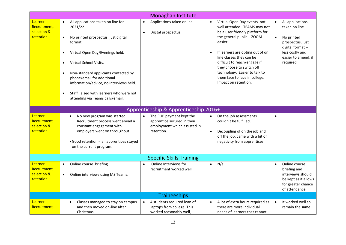|                                                            |                                                                                                                                                                                                                                                                                                                                                                                                                                              | Monaghan Institute                                                                                    |                                                                                                                                                                                                                                                                                                                                                                                          |                                                                                                                                                                          |
|------------------------------------------------------------|----------------------------------------------------------------------------------------------------------------------------------------------------------------------------------------------------------------------------------------------------------------------------------------------------------------------------------------------------------------------------------------------------------------------------------------------|-------------------------------------------------------------------------------------------------------|------------------------------------------------------------------------------------------------------------------------------------------------------------------------------------------------------------------------------------------------------------------------------------------------------------------------------------------------------------------------------------------|--------------------------------------------------------------------------------------------------------------------------------------------------------------------------|
| <b>Learner</b><br>Recruitment,<br>selection &<br>retention | All applications taken on line for<br>$\bullet$<br>2021/22.<br>No printed prospectus, just digital<br>$\bullet$<br>format.<br>Virtual Open Day/Evenings held.<br>$\bullet$<br>Virtual School Visits.<br>$\bullet$<br>Non-standard applicants contacted by<br>$\bullet$<br>phone/email for additional<br>information/advice, no interviews held.<br>Staff liaised with learners who were not<br>$\bullet$<br>attending via Teams calls/email. | Applications taken online.<br>$\bullet$<br>Digital prospectus.<br>$\bullet$                           | Virtual Open Day events, not<br>$\bullet$<br>well attended. TEAMS may not<br>be a user friendly platform for<br>the general public - ZOOM<br>easier.<br>If learners are opting out of on<br>$\bullet$<br>line classes they can be<br>difficult to reach/engage if<br>they choose to switch off<br>technology. Easier to talk to<br>them face to face in college.<br>Impact on retention. | All applications<br>$\bullet$<br>taken on line.<br>No printed<br>$\bullet$<br>prospectus, just<br>digital format-<br>less costly and<br>easier to amend, if<br>required. |
|                                                            |                                                                                                                                                                                                                                                                                                                                                                                                                                              | Apprenticeship & Apprenticeship 2016+                                                                 |                                                                                                                                                                                                                                                                                                                                                                                          |                                                                                                                                                                          |
| Learner<br>Recruitment,<br>selection &<br><b>retention</b> | No new program was started.<br>$\bullet$<br>Recruitment process went ahead a<br>constant engagement with<br>employers went on throughout.<br>· Good retention - all apprentices stayed<br>on the current program.                                                                                                                                                                                                                            | The PUP payment kept the<br>apprentice secured in their<br>employment which assisted in<br>retention. | On the job assessments<br>$\bullet$<br>couldn't be fulfilled.<br>Decoupling of on the job and<br>$\bullet$<br>off the job, came with a bit of<br>negativity from apprentices.                                                                                                                                                                                                            | $\bullet$                                                                                                                                                                |
|                                                            |                                                                                                                                                                                                                                                                                                                                                                                                                                              | <b>Specific Skills Training</b>                                                                       |                                                                                                                                                                                                                                                                                                                                                                                          |                                                                                                                                                                          |
| Learner<br>Recruitment,<br>selection &<br>retention        | Online course briefing.<br>$\bullet$<br>Online interviews using MS Teams.<br>$\bullet$                                                                                                                                                                                                                                                                                                                                                       | Online Interviews for<br>$\bullet$<br>recruitment worked well.                                        | $N/a$ .<br>$\bullet$                                                                                                                                                                                                                                                                                                                                                                     | Online course<br>$\bullet$<br>briefing and<br>interviews should<br>be kept as it allows<br>for greater chance<br>of attendance.                                          |
|                                                            |                                                                                                                                                                                                                                                                                                                                                                                                                                              | <b>Traineeships</b>                                                                                   |                                                                                                                                                                                                                                                                                                                                                                                          |                                                                                                                                                                          |
| Learner<br>Recruitment,                                    | Classes managed to stay on campus<br>$\bullet$<br>and then moved on-line after<br>Christmas.                                                                                                                                                                                                                                                                                                                                                 | 4 students required loan of<br>$\bullet$<br>laptops from college. This<br>worked reasonably well,     | A lot of extra hours required as<br>$\bullet$<br>there are more individual<br>needs of learners that cannot                                                                                                                                                                                                                                                                              | It worked well so<br>$\bullet$<br>remain the same.                                                                                                                       |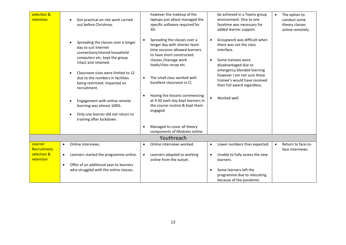| selection &<br>retention |           | Got practical on-site work carried<br>out before Christmas.                                                                                                                                                                                                                                                                                                                         |           | however the makeup of the<br>laptops just about managed the<br>specific software required for<br>3D.                                                                                                                                                                                                                                                              |                                     | be achieved in a Teams group<br>environment. One to one<br>facetime was necessary for<br>added learner support.                                                                                                                                                   | $\bullet$ | The option to<br>conduct some<br>theory classes<br>online remotely. |
|--------------------------|-----------|-------------------------------------------------------------------------------------------------------------------------------------------------------------------------------------------------------------------------------------------------------------------------------------------------------------------------------------------------------------------------------------|-----------|-------------------------------------------------------------------------------------------------------------------------------------------------------------------------------------------------------------------------------------------------------------------------------------------------------------------------------------------------------------------|-------------------------------------|-------------------------------------------------------------------------------------------------------------------------------------------------------------------------------------------------------------------------------------------------------------------|-----------|---------------------------------------------------------------------|
|                          |           | Spreading the classes over a longer<br>day to suit internet<br>connections/shared household<br>computers etc. kept the group<br>intact and retained.<br>Classroom sizes were limited to 12<br>due to the numbers in facilities<br>being restricted. Impacted on<br>recruitment.<br>Engagement with online remote<br>learning was almost 100%.<br>Only one learner did not return to | $\bullet$ | Spreading the classes over a<br>longer day with shorter team<br>time sessions allowed learners<br>to have short constructed<br>classes / manage work<br>loads/class recap etc.<br>The small class worked well.<br>Excellent classroom in CI.<br>Having live lessons commencing<br>at 9:30 each day kept learners in<br>the course routine & kept them<br>engaged. | $\bullet$<br>$\bullet$<br>$\bullet$ | Groupwork was difficult when<br>there was not the class<br>interface.<br>Some trainees were<br>disadvantaged due to<br>emergency blended learning<br>however I am not sure these<br>trainee's would have received<br>their full award regardless.<br>Worked well. |           |                                                                     |
|                          |           | training after lockdown.                                                                                                                                                                                                                                                                                                                                                            |           | Managed to cover all theory<br>components of Modules online.                                                                                                                                                                                                                                                                                                      |                                     |                                                                                                                                                                                                                                                                   |           |                                                                     |
|                          |           |                                                                                                                                                                                                                                                                                                                                                                                     |           | Youthreach                                                                                                                                                                                                                                                                                                                                                        |                                     |                                                                                                                                                                                                                                                                   |           |                                                                     |
| Learner<br>Recruitment,  | $\bullet$ | Online interviews.                                                                                                                                                                                                                                                                                                                                                                  |           | Online interviews worked.                                                                                                                                                                                                                                                                                                                                         | $\bullet$                           | Lower numbers than expected.                                                                                                                                                                                                                                      | $\bullet$ | Return to face-to-<br>face interviews.                              |
| selection &<br>retention | $\bullet$ | Learners started the programme online.                                                                                                                                                                                                                                                                                                                                              | $\bullet$ | Learners adapted to working<br>online from the outset.                                                                                                                                                                                                                                                                                                            | $\bullet$                           | Unable to fully assess the new<br>learners.                                                                                                                                                                                                                       |           |                                                                     |
|                          | $\bullet$ | Offer of an additional year to learners<br>who struggled with the online classes.                                                                                                                                                                                                                                                                                                   |           |                                                                                                                                                                                                                                                                                                                                                                   | $\bullet$                           | Some learners left the<br>programme due to relocating<br>because of the pandemic.                                                                                                                                                                                 |           |                                                                     |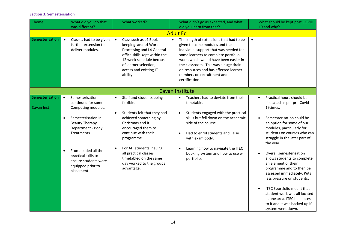#### **Section 3: Semesterisation**

<span id="page-14-0"></span>

| Theme                         | What did you do that                                                                                                                                                                                                                                                                            | What worked?                                                                                                                                                                                                                                                                                                                                 | What didn't go as expected, and what                                                                                                                                                                                                                                                                                                             | What should be kept post COVID                                                                                                                                                                                                                                                                                                                                                                                                                                                                                                                                                            |
|-------------------------------|-------------------------------------------------------------------------------------------------------------------------------------------------------------------------------------------------------------------------------------------------------------------------------------------------|----------------------------------------------------------------------------------------------------------------------------------------------------------------------------------------------------------------------------------------------------------------------------------------------------------------------------------------------|--------------------------------------------------------------------------------------------------------------------------------------------------------------------------------------------------------------------------------------------------------------------------------------------------------------------------------------------------|-------------------------------------------------------------------------------------------------------------------------------------------------------------------------------------------------------------------------------------------------------------------------------------------------------------------------------------------------------------------------------------------------------------------------------------------------------------------------------------------------------------------------------------------------------------------------------------------|
|                               | was different?                                                                                                                                                                                                                                                                                  |                                                                                                                                                                                                                                                                                                                                              | did you learn from that?<br><b>Adult Ed</b>                                                                                                                                                                                                                                                                                                      | 19 and why?                                                                                                                                                                                                                                                                                                                                                                                                                                                                                                                                                                               |
| Semesterisation               | Classes had to be given<br>$\bullet$<br>further extension to<br>deliver modules.                                                                                                                                                                                                                | Class such as L4 Book<br>$\bullet$<br>keeping and L4 Word<br>Processing and L4 General<br>office skills kept within the<br>12 week schedule because<br>of learner selection,<br>access and existing IT<br>ability.                                                                                                                           | The length of extensions that had to be<br>$\bullet$<br>given to some modules and the<br>individual support that was needed for<br>some learners to complete portfolio<br>work, which would have been easier in<br>the classroom. This was a huge drain<br>on resources and has affected learner<br>numbers on recruitment and<br>certification. | $\bullet$                                                                                                                                                                                                                                                                                                                                                                                                                                                                                                                                                                                 |
|                               |                                                                                                                                                                                                                                                                                                 |                                                                                                                                                                                                                                                                                                                                              | <b>Cavan Institute</b>                                                                                                                                                                                                                                                                                                                           |                                                                                                                                                                                                                                                                                                                                                                                                                                                                                                                                                                                           |
| Semesterisation<br>Cavan Inst | Semesterisation<br>$\bullet$<br>continued for some<br>Computing modules.<br>Semesterisation in<br>$\bullet$<br><b>Beauty Therapy</b><br>Department - Body<br>Treatments.<br>Front loaded all the<br>$\bullet$<br>practical skills to<br>ensure students were<br>equipped prior to<br>placement. | Staff and students being<br>$\bullet$<br>flexible.<br>Students felt that they had<br>$\bullet$<br>achieved something by<br>Christmas and it<br>encouraged them to<br>continue with their<br>programme.<br>For AIT students, having<br>$\bullet$<br>all practical classes<br>timetabled on the same<br>day worked to the groups<br>advantage. | Teachers had to deviate from their<br>timetable.<br>Students engaged with the practical<br>skills but fell down on the academic<br>side of the course.<br>Had to enrol students and liaise<br>with exam body.<br>Learning how to navigate the ITEC<br>booking system and how to use e-<br>portfolio.                                             | Practical hours should be<br>$\bullet$<br>allocated as per pre-Covid-<br>19times.<br>Semersterisation could be<br>an option for some of our<br>modules, particularly for<br>students on courses who can<br>struggle in the later part of<br>the year.<br>Overall semesterisation<br>allows students to complete<br>an element of their<br>programme and to then be<br>assessed immediately. Puts<br>less pressure on students.<br><b>ITEC Eportfolio meant that</b><br>student work was all located<br>in one area. ITEC had access<br>to it and it was backed up if<br>system went down. |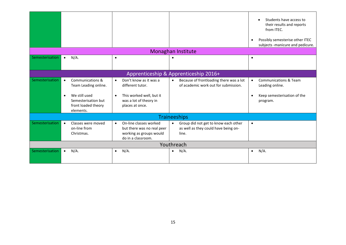|                 |           |                                                                          |           |                                                                                                       |           |                                                                                       | $\bullet$ | Students have access to<br>their results and reports<br>from ITEC.<br>Possibly semesterise other ITEC<br>subjects -manicure and pedicure. |
|-----------------|-----------|--------------------------------------------------------------------------|-----------|-------------------------------------------------------------------------------------------------------|-----------|---------------------------------------------------------------------------------------|-----------|-------------------------------------------------------------------------------------------------------------------------------------------|
|                 |           |                                                                          |           |                                                                                                       |           | Monaghan Institute                                                                    |           |                                                                                                                                           |
| Semesterisation | $\bullet$ | $N/A$ .                                                                  | $\bullet$ |                                                                                                       |           |                                                                                       | $\bullet$ |                                                                                                                                           |
|                 |           |                                                                          |           |                                                                                                       |           | Apprenticeship & Apprenticeship 2016+                                                 |           |                                                                                                                                           |
| Semesterisation | $\bullet$ | Communications &<br>Team Leading online.                                 | $\bullet$ | Don't know as it was a<br>different tutor.                                                            | $\bullet$ | Because of frontloading there was a lot<br>of academic work out for submission.       | $\bullet$ | <b>Communications &amp; Team</b><br>Leading online.                                                                                       |
|                 | $\bullet$ | We still used<br>Semesterisation but<br>front loaded theory<br>elements. | $\bullet$ | This worked well, but it<br>was a lot of theory in<br>places at once.                                 |           |                                                                                       | $\bullet$ | Keep semesterisation of the<br>program.                                                                                                   |
|                 |           |                                                                          |           |                                                                                                       |           | <b>Traineeships</b>                                                                   |           |                                                                                                                                           |
| Semesterisation | $\bullet$ | Classes were moved<br>on-line from<br>Christmas.                         | $\bullet$ | On-line classes worked<br>but there was no real peer<br>working as groups would<br>do in a classroom. | $\bullet$ | Group did not get to know each other<br>as well as they could have being on-<br>line. | $\bullet$ |                                                                                                                                           |
| Youthreach      |           |                                                                          |           |                                                                                                       |           |                                                                                       |           |                                                                                                                                           |
| Semesterisation | $\bullet$ | $N/A$ .                                                                  | $\bullet$ | $N/A$ .                                                                                               | $\bullet$ | $N/A$ .                                                                               | $\bullet$ | $N/A$ .                                                                                                                                   |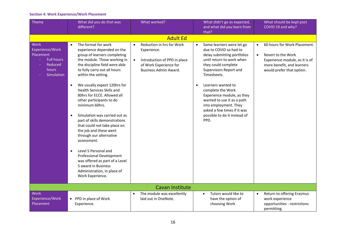#### **Section 4: Work Experience/Work Placement**

<span id="page-16-0"></span>

| Theme                                                                                       | What did you do that was<br>different?                                                                                                                                                                                                                                                                                                                                                                                                                                                                                                                                                                                                                                                                                                                 | What worked?                                                                                                                                          | What didn't go as expected,<br>and what did you learn from<br>that?                                                                                                                                                                                                                                                                                                                                 | What should be kept post<br>COVID 19 and why?                                                                                                                             |
|---------------------------------------------------------------------------------------------|--------------------------------------------------------------------------------------------------------------------------------------------------------------------------------------------------------------------------------------------------------------------------------------------------------------------------------------------------------------------------------------------------------------------------------------------------------------------------------------------------------------------------------------------------------------------------------------------------------------------------------------------------------------------------------------------------------------------------------------------------------|-------------------------------------------------------------------------------------------------------------------------------------------------------|-----------------------------------------------------------------------------------------------------------------------------------------------------------------------------------------------------------------------------------------------------------------------------------------------------------------------------------------------------------------------------------------------------|---------------------------------------------------------------------------------------------------------------------------------------------------------------------------|
|                                                                                             |                                                                                                                                                                                                                                                                                                                                                                                                                                                                                                                                                                                                                                                                                                                                                        | <b>Adult Ed</b>                                                                                                                                       |                                                                                                                                                                                                                                                                                                                                                                                                     |                                                                                                                                                                           |
| Work<br>Experience/Work<br>Placement<br><b>Full hours</b><br>Reduced<br>hours<br>Simulation | The format for work<br>$\bullet$<br>experience depended on the<br>group of learners completing<br>the module. Those working in<br>the discipline field were able<br>to fully carry out all hours<br>within the setting.<br>We usually expect 120hrs for<br>$\bullet$<br>Health Services Skills and<br>80hrs for ECCE. Allowed all<br>other participants to do<br>minimum 60hrs.<br>Simulation was carried out as<br>$\bullet$<br>part of skills demonstrations<br>that could not take place on<br>the job and these went<br>through our alternative<br>assessment.<br>Level 5 Personal and<br>$\bullet$<br><b>Professional Development</b><br>was offered as part of a Level<br>5 award in Business<br>Administration, in place of<br>Work Experience. | Reduction in hrs for Work<br>$\bullet$<br>Experience.<br>Introduction of PPD in place<br>$\bullet$<br>of Work Experience for<br>Business Admin Award. | Some learners were let go<br>$\bullet$<br>due to COVID so had to<br>delay submitting portfolios<br>until return to work when<br>they could complete<br>Supervisors Report and<br>Timesheets.<br>Learners wanted to<br>complete the Work<br>Experience module, as they<br>wanted to use it as a path<br>into employment. They<br>asked a few times if it was<br>possible to do it instead of<br>PPD. | 60 hours for Work Placement.<br>$\bullet$<br>Revert to the Work<br>$\bullet$<br>Experience module, as it is of<br>more benefit, and learners<br>would prefer that option. |
|                                                                                             |                                                                                                                                                                                                                                                                                                                                                                                                                                                                                                                                                                                                                                                                                                                                                        | <b>Cavan Institute</b>                                                                                                                                |                                                                                                                                                                                                                                                                                                                                                                                                     |                                                                                                                                                                           |
| Work<br>Experience/Work<br>Placement                                                        | PPD in place of Work<br>$\bullet$<br>Experience.                                                                                                                                                                                                                                                                                                                                                                                                                                                                                                                                                                                                                                                                                                       | The module was excellently<br>$\bullet$<br>laid out in OneNote.                                                                                       | Tutors would like to<br>$\bullet$<br>have the option of<br>choosing Work                                                                                                                                                                                                                                                                                                                            | Return to offering Erasmus<br>$\bullet$<br>work experience<br>opportunities - restrictions<br>permitting.                                                                 |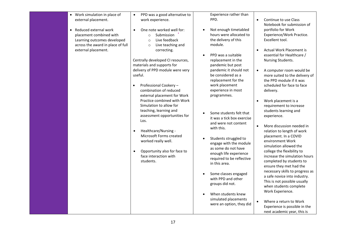| • Work simulation in place of<br>external placement.<br>• Reduced external work<br>placement combined with<br>Learning outcomes developed<br>across the award in place of full<br>external placement. | PPD was a good alternative to<br>$\bullet$<br>work experience.<br>One note worked well for:<br>$\bullet$<br>Submission<br>$\circ$<br>Live feedback<br>$\circ$<br>Live teaching and<br>$\circ$<br>correcting.<br>Centrally developed CI resources,<br>materials and supports for<br>delivery of PPD module were very<br>useful.<br>Professional Cookery -<br>$\bullet$<br>combination of reduced<br>external placement for Work<br>Practice combined with Work<br>Simulation to allow for<br>teaching, learning and<br>assessment opportunities for<br>Los.<br>Healthcare/Nursing -<br>$\bullet$<br>Microsoft Forms created<br>worked really well.<br>Opportunity also for face to<br>$\bullet$<br>face interaction with<br>students. | Experience rather than<br>PPD.<br>Not enough timetabled<br>hours were allocated to<br>the delivery of this<br>module.<br>PPD was a suitable<br>replacement in the<br>pandemic but post<br>pandemic it should not<br>be considered as a<br>replacement for the<br>work placement<br>experience in most<br>programmes.<br>Some students felt that<br>it was a tick box exercise<br>and were not content<br>with this.<br>Students struggled to<br>$\bullet$<br>engage with the module<br>as some do not have<br>enough life experience<br>required to be reflective<br>in this area.<br>Some classes engaged<br>with PPD and other<br>groups did not.<br>When students knew<br>simulated placements<br>were an option, they did | Continue to use Class<br>$\bullet$<br>Notebook for submission of<br>portfolio for Work<br>Experience/Work Practice.<br>Excellent tool.<br>Actual Work Placement is<br>essential for Healthcare /<br>Nursing Students.<br>A computer room would be<br>$\bullet$<br>more suited to the delivery of<br>the PPD module if it was<br>scheduled for face to face<br>delivery.<br>Work placement is a<br>requirement to increase<br>students learning and<br>experience.<br>More discussion needed in<br>relation to length of work<br>placement. In a COVID<br>environment Work<br>simulation allowed the<br>college the flexibility to<br>increase the simulation hours<br>completed by students to<br>ensure they met had the<br>necessary skills to progress as<br>a safe novice into industry.<br>This is not possible usually<br>when students complete<br>Work Experience.<br>Where a return to Work<br>$\bullet$<br>Experience is possible in the<br>next academic year, this is |
|-------------------------------------------------------------------------------------------------------------------------------------------------------------------------------------------------------|--------------------------------------------------------------------------------------------------------------------------------------------------------------------------------------------------------------------------------------------------------------------------------------------------------------------------------------------------------------------------------------------------------------------------------------------------------------------------------------------------------------------------------------------------------------------------------------------------------------------------------------------------------------------------------------------------------------------------------------|-------------------------------------------------------------------------------------------------------------------------------------------------------------------------------------------------------------------------------------------------------------------------------------------------------------------------------------------------------------------------------------------------------------------------------------------------------------------------------------------------------------------------------------------------------------------------------------------------------------------------------------------------------------------------------------------------------------------------------|-----------------------------------------------------------------------------------------------------------------------------------------------------------------------------------------------------------------------------------------------------------------------------------------------------------------------------------------------------------------------------------------------------------------------------------------------------------------------------------------------------------------------------------------------------------------------------------------------------------------------------------------------------------------------------------------------------------------------------------------------------------------------------------------------------------------------------------------------------------------------------------------------------------------------------------------------------------------------------------|
|-------------------------------------------------------------------------------------------------------------------------------------------------------------------------------------------------------|--------------------------------------------------------------------------------------------------------------------------------------------------------------------------------------------------------------------------------------------------------------------------------------------------------------------------------------------------------------------------------------------------------------------------------------------------------------------------------------------------------------------------------------------------------------------------------------------------------------------------------------------------------------------------------------------------------------------------------------|-------------------------------------------------------------------------------------------------------------------------------------------------------------------------------------------------------------------------------------------------------------------------------------------------------------------------------------------------------------------------------------------------------------------------------------------------------------------------------------------------------------------------------------------------------------------------------------------------------------------------------------------------------------------------------------------------------------------------------|-----------------------------------------------------------------------------------------------------------------------------------------------------------------------------------------------------------------------------------------------------------------------------------------------------------------------------------------------------------------------------------------------------------------------------------------------------------------------------------------------------------------------------------------------------------------------------------------------------------------------------------------------------------------------------------------------------------------------------------------------------------------------------------------------------------------------------------------------------------------------------------------------------------------------------------------------------------------------------------|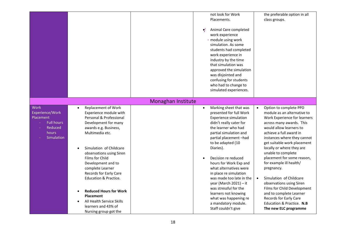|                                                                                                    |                                                                                                                                                                                                                                                                                                                                                                                                                                                                    |                    | not look for Work<br>Placements.<br>Animal Care completed<br>$\bullet$<br>work experience<br>· module using work<br>simulation. As some<br>students had completed<br>work experience in<br>industry by the time<br>that simulation was<br>approved the simulation<br>was disjointed and<br>confusing for students<br>who had to change to<br>simulated experiences.                                                                                                                                                                    | the preferable option in all<br>class groups.                                                                                                                                                                                                                                                                                                                                                                                                                                                                                                                                              |
|----------------------------------------------------------------------------------------------------|--------------------------------------------------------------------------------------------------------------------------------------------------------------------------------------------------------------------------------------------------------------------------------------------------------------------------------------------------------------------------------------------------------------------------------------------------------------------|--------------------|----------------------------------------------------------------------------------------------------------------------------------------------------------------------------------------------------------------------------------------------------------------------------------------------------------------------------------------------------------------------------------------------------------------------------------------------------------------------------------------------------------------------------------------|--------------------------------------------------------------------------------------------------------------------------------------------------------------------------------------------------------------------------------------------------------------------------------------------------------------------------------------------------------------------------------------------------------------------------------------------------------------------------------------------------------------------------------------------------------------------------------------------|
|                                                                                                    |                                                                                                                                                                                                                                                                                                                                                                                                                                                                    | Monaghan Institute |                                                                                                                                                                                                                                                                                                                                                                                                                                                                                                                                        |                                                                                                                                                                                                                                                                                                                                                                                                                                                                                                                                                                                            |
| <b>Work</b><br>Experience/Work<br>Placement<br><b>Full hours</b><br>Reduced<br>hours<br>Simulation | Replacement of Work<br>$\bullet$<br>Experience module with<br>Personal & Professional<br>Development for many<br>awards e.g. Business,<br>Multimedia etc.<br>Simulation of Childcare<br>observations using Siren<br>Films for Child<br>Development and to<br>complete Learner<br>Records for Early Care<br>Education & Practice.<br><b>Reduced Hours for Work</b><br><b>Placement</b><br>All Health Service Skills<br>learners and 43% of<br>Nursing group got the |                    | Marking sheet that was<br>$\bullet$<br>presented for full Work<br><b>Experience simulation</b><br>didn't really cater for<br>the learner who had<br>partial simulation and<br>partial placement -had<br>to be adapted (10<br>Diaries).<br>Decision re reduced<br>$\bullet$<br>hours for Work Exp and<br>what alternatives were<br>in place re simulation<br>was made too late in the<br>year (March 2021) - it<br>was stressful for the<br>learners not knowing<br>what was happening re<br>a mandatory module.<br>Staff couldn't give | Option to complete PPD<br>$\bullet$<br>module as an alternative to<br>Work Experience for learners<br>across many awards. This<br>would allow learners to<br>achieve a full award in<br>instances where they cannot<br>get suitable work placement<br>locally or where they are<br>unable to complete<br>placement for some reason,<br>for example ill health/<br>pregnancy.<br>Simulation of Childcare<br>$\bullet$<br>observations using Siren<br>Films for Child Development<br>and to complete Learner<br>Records for Early Care<br>Education & Practice. N.B<br>The new ELC programme |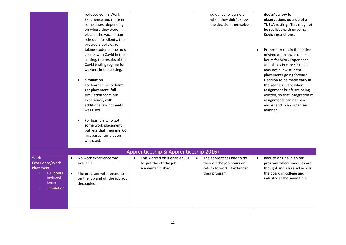|                                                                                                           | reduced 60 hrs Work<br>Experience and more in<br>some cases -depending<br>on where they were<br>placed, the vaccination                                                                                                                                                                                                                                                                                                                                                    |                                                                                           | guidance to learners,<br>when they didn't know<br>the decision themselves.                                            | doesn't allow for<br>observations outside of a<br>TUSLA setting. This may not<br>be realistic with ongoing<br><b>Covid restrictions.</b>                                                                                                                                                                                                                                                      |
|-----------------------------------------------------------------------------------------------------------|----------------------------------------------------------------------------------------------------------------------------------------------------------------------------------------------------------------------------------------------------------------------------------------------------------------------------------------------------------------------------------------------------------------------------------------------------------------------------|-------------------------------------------------------------------------------------------|-----------------------------------------------------------------------------------------------------------------------|-----------------------------------------------------------------------------------------------------------------------------------------------------------------------------------------------------------------------------------------------------------------------------------------------------------------------------------------------------------------------------------------------|
|                                                                                                           | schedule for clients, the<br>providers policies re<br>taking students, the no of<br>clients with Covid in the<br>setting, the results of the<br>Covid testing regime for<br>workers in the setting.<br>Simulation<br>For learners who didn't<br>get placement, full<br>simulation for Work<br>Experience, with<br>additional assignments<br>was used.<br>For learners who got<br>some work placement,<br>but less that then min 60<br>hrs, partial simulation<br>was used. |                                                                                           |                                                                                                                       | Propose to retain the option<br>$\bullet$<br>of simulation an/or reduced<br>hours for Work Experience,<br>as policies in care settings<br>may not allow student<br>placements going forward.<br>Decision to be made early in<br>the year e.g. Sept when<br>assignment briefs are being<br>written, so that integration of<br>assignments can happen<br>earlier and in an organised<br>manner. |
|                                                                                                           |                                                                                                                                                                                                                                                                                                                                                                                                                                                                            | Apprenticeship & Apprenticeship 2016+                                                     |                                                                                                                       |                                                                                                                                                                                                                                                                                                                                                                                               |
| <b>Work</b><br><b>Experience/Work</b><br>Placement<br><b>Full hours</b><br>Reduced<br>hours<br>Simulation | No work experience was<br>$\bullet$<br>available.<br>The program with regard to<br>$\bullet$<br>on the job and off the job got<br>decoupled.                                                                                                                                                                                                                                                                                                                               | This worked ok it enabled us<br>$\bullet$<br>to get the off the job<br>elements finished. | The apprentices had to do<br>$\bullet$<br>their off the job hours on<br>return to work. It extended<br>their program. | Back to original plan for<br>$\bullet$<br>program where modules are<br>thought and assessed across<br>the board in college and<br>industry at the same time.                                                                                                                                                                                                                                  |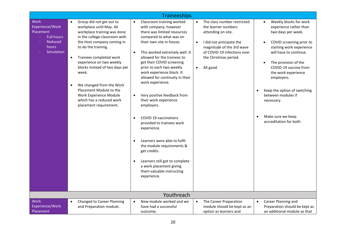|                                                                                             |                                                                                                                                                                                                                                                                                                                                                                                                                                                           | <b>Traineeships</b>                                                                                                                                                                                                                                                                                                                                                                                                                                                                                                                                                                                                                                                                                                                                      |                                                                                                                                                                                                                                               |                                                                                                                                                                                                                                                                                                                                                                                                                        |
|---------------------------------------------------------------------------------------------|-----------------------------------------------------------------------------------------------------------------------------------------------------------------------------------------------------------------------------------------------------------------------------------------------------------------------------------------------------------------------------------------------------------------------------------------------------------|----------------------------------------------------------------------------------------------------------------------------------------------------------------------------------------------------------------------------------------------------------------------------------------------------------------------------------------------------------------------------------------------------------------------------------------------------------------------------------------------------------------------------------------------------------------------------------------------------------------------------------------------------------------------------------------------------------------------------------------------------------|-----------------------------------------------------------------------------------------------------------------------------------------------------------------------------------------------------------------------------------------------|------------------------------------------------------------------------------------------------------------------------------------------------------------------------------------------------------------------------------------------------------------------------------------------------------------------------------------------------------------------------------------------------------------------------|
| Work<br>Experience/Work<br>Placement<br><b>Full hours</b><br>Reduced<br>hours<br>Simulation | Group did not get out to<br>$\bullet$<br>workplace until May. All<br>workplace training was done<br>in the college classroom with<br>the Host company coming in<br>to do the training.<br>Trainees completed work<br>$\bullet$<br>experience on two weekly<br>blocks instead of two days per<br>week.<br>We changed from the Work<br>$\bullet$<br>Placement Module to the<br>Work Experience Module<br>which has a reduced work<br>placement requirement. | Classroom training worked<br>$\bullet$<br>with company, however<br>there was limited resources<br>compared to what was on<br>their own site in-house.<br>This worked extremely well. It<br>$\bullet$<br>allowed for the trainees to<br>get their COVID screening<br>prior to each two weekly<br>work experience block. It<br>allowed for continuity in their<br>work experience.<br>Very positive feedback from<br>their work experience<br>employers.<br>COVID 19 vaccinations<br>$\bullet$<br>provided to trainees work<br>experience.<br>Learners were able to fulfil<br>$\bullet$<br>the module requirements &<br>get credits.<br>Learners still got to complete<br>$\bullet$<br>a work placement giving<br>them valuable instructing<br>experience. | The class number restricted<br>$\bullet$<br>the learner numbers<br>attending on site.<br>I did not anticipate the<br>$\bullet$<br>magnitude of the 3rd wave<br>of COVID-19 infections over<br>the Christmas period.<br>All good.<br>$\bullet$ | Weekly blocks for work<br>$\bullet$<br>experience rather than<br>two days per week.<br>COVID screening prior to<br>$\bullet$<br>starting work experience<br>will have to continue.<br>The provision of the<br>COVID-19 vaccine from<br>the work experience<br>employers.<br>Keep the option of switching<br>$\bullet$<br>between modules if<br>necessary.<br>Make sure we keep<br>$\bullet$<br>accreditation for both. |
|                                                                                             |                                                                                                                                                                                                                                                                                                                                                                                                                                                           | Youthreach                                                                                                                                                                                                                                                                                                                                                                                                                                                                                                                                                                                                                                                                                                                                               |                                                                                                                                                                                                                                               |                                                                                                                                                                                                                                                                                                                                                                                                                        |
| Work<br>Experience/Work<br>Placement                                                        | <b>Changed to Career Planning</b><br>$\bullet$<br>and Preparation module.                                                                                                                                                                                                                                                                                                                                                                                 | New module worked and we<br>$\bullet$<br>have had a successful<br>outcome.                                                                                                                                                                                                                                                                                                                                                                                                                                                                                                                                                                                                                                                                               | The Career Preparation<br>$\bullet$<br>module should be kept as an<br>option as learners and                                                                                                                                                  | Career Planning and<br>$\bullet$<br>Preparation should be kept as<br>an additional module so that                                                                                                                                                                                                                                                                                                                      |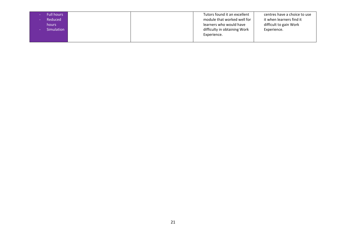| <b>Full hours</b> |  | Tutors found it an excellent | centres have a choice to use |
|-------------------|--|------------------------------|------------------------------|
| Reduced           |  | module that worked well for  | it when learners find it     |
| hours             |  | learners who would have      | difficult to gain Work       |
| Simulation        |  | difficulty in obtaining Work | Experience.                  |
|                   |  | Experience.                  |                              |
|                   |  |                              |                              |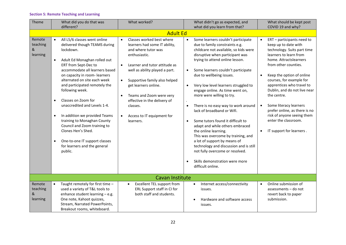#### **Section 5: Remote Teaching and Learning**

<span id="page-22-0"></span>

| Theme                               | What did you do that was                                                                                                                                                                                                                                                                                                                                                                                                                                                                                                                                                                               | What worked?                                                                                                                                                                                                                                                                                                                                                                                                       | What didn't go as expected, and                                                                                                                                                                                                                                                                                                                                                                                                                                                                                                                                                                                                                                                                                                                                                     | What should be kept post                                                                                                                                                                                                                                                                                                                                                                                                                                                                            |  |  |  |
|-------------------------------------|--------------------------------------------------------------------------------------------------------------------------------------------------------------------------------------------------------------------------------------------------------------------------------------------------------------------------------------------------------------------------------------------------------------------------------------------------------------------------------------------------------------------------------------------------------------------------------------------------------|--------------------------------------------------------------------------------------------------------------------------------------------------------------------------------------------------------------------------------------------------------------------------------------------------------------------------------------------------------------------------------------------------------------------|-------------------------------------------------------------------------------------------------------------------------------------------------------------------------------------------------------------------------------------------------------------------------------------------------------------------------------------------------------------------------------------------------------------------------------------------------------------------------------------------------------------------------------------------------------------------------------------------------------------------------------------------------------------------------------------------------------------------------------------------------------------------------------------|-----------------------------------------------------------------------------------------------------------------------------------------------------------------------------------------------------------------------------------------------------------------------------------------------------------------------------------------------------------------------------------------------------------------------------------------------------------------------------------------------------|--|--|--|
|                                     | different?                                                                                                                                                                                                                                                                                                                                                                                                                                                                                                                                                                                             |                                                                                                                                                                                                                                                                                                                                                                                                                    | what did you learn from that?                                                                                                                                                                                                                                                                                                                                                                                                                                                                                                                                                                                                                                                                                                                                                       | COVID 19 and why?                                                                                                                                                                                                                                                                                                                                                                                                                                                                                   |  |  |  |
|                                     |                                                                                                                                                                                                                                                                                                                                                                                                                                                                                                                                                                                                        | <b>Adult Ed</b>                                                                                                                                                                                                                                                                                                                                                                                                    |                                                                                                                                                                                                                                                                                                                                                                                                                                                                                                                                                                                                                                                                                                                                                                                     |                                                                                                                                                                                                                                                                                                                                                                                                                                                                                                     |  |  |  |
| Remote<br>teaching<br>&<br>learning | All L5/6 classes went online<br>delivered though TEAMS during<br>lockdown.<br>Adult Ed Monaghan rolled out<br>$\bullet$<br>ERT from Sept-Dec to<br>accommodate all learners based<br>on capacity in room- learners<br>alternated on site each week<br>and participated remotely the<br>following week.<br>Classes on Zoom for<br>$\bullet$<br>unaccredited and Levels 1-4.<br>In addition we provided Teams<br>$\bullet$<br>training to Monaghan County<br>Council and Zoom training to<br>Clones Hen's Shed.<br>One-to-one IT support classes<br>$\bullet$<br>for learners and the general<br>public. | Classes worked best where<br>$\bullet$<br>learners had some IT ability,<br>and where tutor was<br>enthusiastic.<br>Learner and tutor attitude as<br>$\bullet$<br>well as ability played a part.<br>Supportive family also helped<br>$\bullet$<br>get learners online.<br>Teams and Zoom were very<br>$\bullet$<br>effective in the delivery of<br>classes.<br>Access to IT equipment for<br>$\bullet$<br>learners. | Some learners couldn't participate<br>$\bullet$<br>due to family constraints e.g.<br>childcare not available, so kids were<br>disruptive when participant was<br>trying to attend online lesson.<br>Some learners couldn't participate<br>$\bullet$<br>due to wellbeing issues.<br>Very low level learners struggled to<br>engage online. As time went on,<br>more were willing to try.<br>There is no easy way to work around<br>$\bullet$<br>lack of broadband or Wifi.<br>Some tutors found it difficult to<br>adapt and while others embraced<br>the online learning.<br>This was overcome by training, and<br>a lot of support by means of<br>technology and discussion and is still<br>not fully overcome or resolved.<br>Skills demonstration were more<br>difficult online. | ERT - participants need to<br>$\bullet$<br>keep up to date with<br>technology. Suits part time<br>learners to learn from<br>home. Attractslearners<br>from other counties.<br>Keep the option of online<br>$\bullet$<br>courses, for example for<br>apprentices who travel to<br>Dublin, and do not live near<br>the centre.<br>Some literacy learners<br>$\bullet$<br>prefer online, as there is no<br>risk of anyone seeing them<br>enter the classroom.<br>IT support for learners.<br>$\bullet$ |  |  |  |
|                                     | Cavan Institute                                                                                                                                                                                                                                                                                                                                                                                                                                                                                                                                                                                        |                                                                                                                                                                                                                                                                                                                                                                                                                    |                                                                                                                                                                                                                                                                                                                                                                                                                                                                                                                                                                                                                                                                                                                                                                                     |                                                                                                                                                                                                                                                                                                                                                                                                                                                                                                     |  |  |  |
| Remote<br>teaching<br>&<br>learning | Taught remotely for first time -<br>$\bullet$<br>used a variety of T&L tools to<br>enhance student learning - e.g.<br>One note, Kahoot quizzes,<br>Stream, Narrated PowerPoints,<br>Breakout rooms, whiteboard.                                                                                                                                                                                                                                                                                                                                                                                        | Excellent TEL support from<br>ERL Support staff in CI for<br>both staff and students.                                                                                                                                                                                                                                                                                                                              | Internet access/connectivity<br>$\bullet$<br>issues.<br>Hardware and software access<br>issues.                                                                                                                                                                                                                                                                                                                                                                                                                                                                                                                                                                                                                                                                                     | Online submission of<br>$\bullet$<br>assessments - do not<br>revert back to paper<br>submission.                                                                                                                                                                                                                                                                                                                                                                                                    |  |  |  |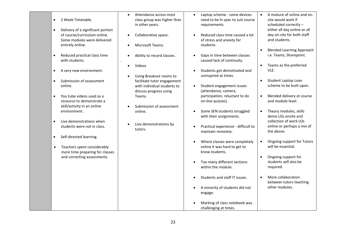| 2 Week Timetable.<br>$\bullet$                                                                                                    | Attendance across most<br>$\bullet$<br>class group was higher than<br>in other years. | Laptop scheme - some devices<br>$\bullet$<br>need to be hi spec to suit course<br>requirements. | A mixture of online and on-<br>$\bullet$<br>site would work if<br>scheduled correctly - |
|-----------------------------------------------------------------------------------------------------------------------------------|---------------------------------------------------------------------------------------|-------------------------------------------------------------------------------------------------|-----------------------------------------------------------------------------------------|
| Delivery of a significant portion<br>$\bullet$<br>of course/curriculum online.<br>Some modules were delivered<br>entirely online. | Collaborative space.<br>Microsoft Teams.                                              | Reduced class time caused a lot<br>$\bullet$<br>of stress and anxiety for<br>students.          | either all day online or all<br>day on-site for both staff<br>and students.             |
| Reduced practical class time<br>$\bullet$<br>with students.                                                                       | Ability to record classes.<br>$\bullet$                                               | Gaps in time between classes<br>$\bullet$<br>caused lack of continuity.                         | <b>Blended Learning Approach</b><br>$\bullet$<br>i.e. Teams, Sharepoint.                |
| A very new environment.<br>$\bullet$                                                                                              | Videos<br>$\bullet$<br>Using Breakout rooms to                                        | Students got demotivated and<br>$\bullet$<br>uninspired at times.                               | Teams as the preferred<br>$\bullet$<br>VLE.                                             |
| Submission of assessment<br>$\bullet$<br>online.                                                                                  | facilitate tutor engagement<br>with individual students to<br>discuss progress using  | Student engagement issues<br>$\bullet$<br>(attendance, camera,                                  | Student Laptop Loan<br>$\bullet$<br>scheme to be built upon.                            |
| You tube videos used as a<br>$\bullet$<br>resource to demonstrate a                                                               | Teams.                                                                                | participation, reluctant to do<br>on-line quizzes).                                             | Blended delivery at course<br>$\bullet$<br>and module level.                            |
| skill/activity in an online<br>environment.                                                                                       | Submission of assessment<br>online.                                                   | Some SEN students struggled<br>$\bullet$<br>with their assignments.                             | Theory modules, skills<br>$\bullet$<br>demo LOs onsite and                              |
| Live demonstrations when<br>$\bullet$<br>students were not in class.                                                              | Live demonstrations by<br>tutors.                                                     | Practical experience - difficult to<br>$\bullet$<br>maintain remotely.                          | collection of work LOs<br>online or perhaps a mix of<br>the above.                      |
| Self-directed learning.<br>$\bullet$                                                                                              |                                                                                       |                                                                                                 |                                                                                         |
| Teachers spent considerably<br>$\bullet$<br>more time preparing for classes                                                       |                                                                                       | Where classes were completely<br>$\bullet$<br>online it was hard to get to<br>know students.    | Ongoing support for Tutors<br>$\bullet$<br>will be essential.                           |
| and correcting assessments.                                                                                                       |                                                                                       | Too many different sections<br>$\bullet$<br>within the module.                                  | Ongoing support for<br>$\bullet$<br>students will also be<br>required.                  |
|                                                                                                                                   |                                                                                       | Students and staff IT issues.                                                                   | More collaboration<br>$\bullet$<br>between tutors teaching                              |
|                                                                                                                                   |                                                                                       | A minority of students did not<br>$\bullet$<br>engage.                                          | other modules.                                                                          |
|                                                                                                                                   |                                                                                       | Marking of class notebook was<br>challenging at times.                                          |                                                                                         |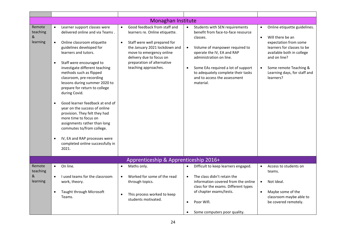|                                     |                                                                                                                                                                                                                                                                                                                                                                                                                                                                                                                                                                                                                                                                                                     | Monaghan Institute                                                                                                                                                                                                                                                      |                                                                                                                                                                                                                                                                                                                                             |                                                                                                                                                                                                                                                                    |
|-------------------------------------|-----------------------------------------------------------------------------------------------------------------------------------------------------------------------------------------------------------------------------------------------------------------------------------------------------------------------------------------------------------------------------------------------------------------------------------------------------------------------------------------------------------------------------------------------------------------------------------------------------------------------------------------------------------------------------------------------------|-------------------------------------------------------------------------------------------------------------------------------------------------------------------------------------------------------------------------------------------------------------------------|---------------------------------------------------------------------------------------------------------------------------------------------------------------------------------------------------------------------------------------------------------------------------------------------------------------------------------------------|--------------------------------------------------------------------------------------------------------------------------------------------------------------------------------------------------------------------------------------------------------------------|
| Remote<br>teaching<br>&<br>learning | Learner support classes were<br>$\bullet$<br>delivered online and via Teams.<br>Online classroom etiquette<br>$\bullet$<br>guidelines developed for<br>learners and tutors.<br>Staff were encouraged to<br>$\bullet$<br>investigate different teaching<br>methods such as flipped<br>classroom, pre-recording<br>lessons during summer 2020 to<br>prepare for return to college<br>during Covid.<br>Good learner feedback at end of<br>$\bullet$<br>year on the success of online<br>provision. They felt they had<br>more time to focus on<br>assignments rather than long<br>commutes to/from college.<br>IV, EA and RAP processes were<br>$\bullet$<br>completed online successfully in<br>2021. | Good feedback from staff and<br>$\bullet$<br>learners re. Online etiquette.<br>Staff were well prepared for<br>$\bullet$<br>the January 2021 lockdown and<br>move to emergency online<br>delivery due to focus on<br>preparation of alternative<br>teaching approaches. | Students with SEN requirements<br>$\bullet$<br>benefit from face-to-face resource<br>classes.<br>Volume of manpower required to<br>$\bullet$<br>operate the IV, EA and RAP<br>administration on line.<br>Some EAs required a lot of support<br>$\bullet$<br>to adequately complete their tasks<br>and to access the assessment<br>material. | Online etiquette guidelines.<br>$\bullet$<br>Will there be an<br>$\bullet$<br>expectation from some<br>learners for classes to be<br>available both in college<br>and on line?<br>Some remote Teaching &<br>$\bullet$<br>Learning days, for staff and<br>learners? |
|                                     |                                                                                                                                                                                                                                                                                                                                                                                                                                                                                                                                                                                                                                                                                                     | Apprenticeship & Apprenticeship 2016+                                                                                                                                                                                                                                   |                                                                                                                                                                                                                                                                                                                                             |                                                                                                                                                                                                                                                                    |
| Remote<br>teaching<br>&<br>learning | On line.<br>$\bullet$<br>I used teams for the classroom<br>$\bullet$<br>work, theory.<br>Taught through Microsoft<br>Teams.                                                                                                                                                                                                                                                                                                                                                                                                                                                                                                                                                                         | Maths only.<br>$\bullet$<br>Worked for some of the read<br>$\bullet$<br>through topics.<br>This process worked to keep<br>$\bullet$<br>students motivated.                                                                                                              | Difficult to keep learners engaged.<br>$\bullet$<br>The class didn't retain the<br>$\bullet$<br>information covered from the online<br>class for the exams. Different types<br>of chapter exams/tests.<br>Poor Wifi.                                                                                                                        | Access to students on<br>$\bullet$<br>teams.<br>Not Ideal.<br>$\bullet$<br>Maybe some of the<br>$\bullet$<br>classroom maybe able to<br>be covered remotely.                                                                                                       |
|                                     |                                                                                                                                                                                                                                                                                                                                                                                                                                                                                                                                                                                                                                                                                                     |                                                                                                                                                                                                                                                                         | Some computers poor quality.                                                                                                                                                                                                                                                                                                                |                                                                                                                                                                                                                                                                    |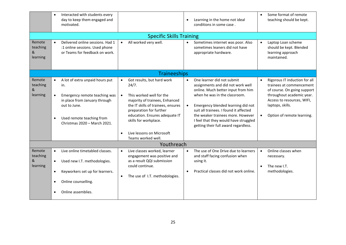|                                     | Interacted with students every<br>$\bullet$<br>day to keep them engaged and<br>motivated.                                                                                                                                                                           |                                                                                                                                                                                                                                                                                  | Learning in the home not ideal<br>conditions in some case.                                                                                                                                                                                                                                                                                                             | Some format of remote<br>$\bullet$<br>teaching should be kept.                                                                                                                                                                  |
|-------------------------------------|---------------------------------------------------------------------------------------------------------------------------------------------------------------------------------------------------------------------------------------------------------------------|----------------------------------------------------------------------------------------------------------------------------------------------------------------------------------------------------------------------------------------------------------------------------------|------------------------------------------------------------------------------------------------------------------------------------------------------------------------------------------------------------------------------------------------------------------------------------------------------------------------------------------------------------------------|---------------------------------------------------------------------------------------------------------------------------------------------------------------------------------------------------------------------------------|
|                                     |                                                                                                                                                                                                                                                                     | <b>Specific Skills Training</b>                                                                                                                                                                                                                                                  |                                                                                                                                                                                                                                                                                                                                                                        |                                                                                                                                                                                                                                 |
| Remote<br>teaching<br>&<br>learning | Delivered online sessions. Had 1<br>$\bullet$<br>$\bullet$<br>:1 online sessions. Used phone<br>or Teams for feedback on work.                                                                                                                                      | All worked very well.                                                                                                                                                                                                                                                            | Sometimes internet was poor. Also<br>$\bullet$<br>sometimes leaners did not have<br>appropriate hardware.                                                                                                                                                                                                                                                              | Laptop Loan scheme<br>$\bullet$<br>should be kept. Blended<br>learning approach<br>maintained.                                                                                                                                  |
|                                     |                                                                                                                                                                                                                                                                     | <b>Traineeships</b>                                                                                                                                                                                                                                                              |                                                                                                                                                                                                                                                                                                                                                                        |                                                                                                                                                                                                                                 |
| Remote<br>teaching<br>&<br>learning | A lot of extra unpaid hours put<br>$\bullet$<br>$\bullet$<br>in.<br>Emergency remote teaching was<br>$\bullet$<br>$\bullet$<br>in place from January through<br>out to June.<br>Used remote teaching from<br>$\bullet$<br>Christmas 2020 - March 2021.<br>$\bullet$ | Got results, but hard work<br>24/7.<br>This worked well for the<br>majority of trainees, Enhanced<br>the IT skills of trainees, ensures<br>preparation for further<br>education. Ensures adequate IT<br>skills for workplace.<br>Live lessons on Microsoft<br>Teams worked well. | One learner did not submit<br>$\bullet$<br>assignments and did not work well<br>online. Much better input from him<br>when he was in the classroom.<br>Emergency blended learning did not<br>$\bullet$<br>suit all trainees. I found it affected<br>the weaker trainees more. However<br>I feel that they would have struggled<br>getting their full award regardless. | Rigorous IT induction for all<br>$\bullet$<br>trainees at commencement<br>of course. On going support<br>throughout academic year.<br>Access to resources, WIFI,<br>laptops, skills.<br>Option of remote learning.<br>$\bullet$ |
|                                     |                                                                                                                                                                                                                                                                     | Youthreach                                                                                                                                                                                                                                                                       |                                                                                                                                                                                                                                                                                                                                                                        |                                                                                                                                                                                                                                 |
| Remote<br>teaching<br>&<br>learning | Live online timetabled classes.<br>$\bullet$<br>$\bullet$<br>Used new I.T. methodologies.<br>$\bullet$<br>Keyworkers set up for learners.<br>$\bullet$<br>$\bullet$<br>Online counselling.<br>Online assemblies.                                                    | Live classes worked, learner<br>engagement was positive and<br>as a result QQI submission<br>could continue.<br>The use of I.T. methodologies.                                                                                                                                   | The use of One Drive due to learners<br>and staff facing confusion when<br>using it.<br>Practical classes did not work online.                                                                                                                                                                                                                                         | Online classes when<br>$\bullet$<br>necessary.<br>The new I.T.<br>$\bullet$<br>methodologies.                                                                                                                                   |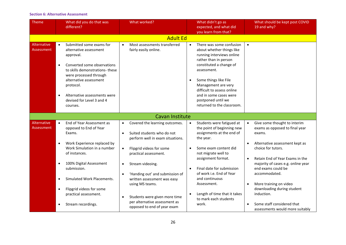#### **Section 6: Alternative Assessment**

<span id="page-26-0"></span>

| <b>Theme</b>                     | What did you do that was<br>different?                                                                                                                                                                                                                                                              | What worked?                                                                                                                                                                                                                                                                                                                                                                  | What didn't go as<br>expected, and what did<br>you learn from that?                                                                                                                                                                                                                                                                                                            | What should be kept post COVID<br>19 and why?                                                                                                                                                                                                                                                                          |  |  |
|----------------------------------|-----------------------------------------------------------------------------------------------------------------------------------------------------------------------------------------------------------------------------------------------------------------------------------------------------|-------------------------------------------------------------------------------------------------------------------------------------------------------------------------------------------------------------------------------------------------------------------------------------------------------------------------------------------------------------------------------|--------------------------------------------------------------------------------------------------------------------------------------------------------------------------------------------------------------------------------------------------------------------------------------------------------------------------------------------------------------------------------|------------------------------------------------------------------------------------------------------------------------------------------------------------------------------------------------------------------------------------------------------------------------------------------------------------------------|--|--|
|                                  | <b>Adult Ed</b>                                                                                                                                                                                                                                                                                     |                                                                                                                                                                                                                                                                                                                                                                               |                                                                                                                                                                                                                                                                                                                                                                                |                                                                                                                                                                                                                                                                                                                        |  |  |
| Alternative<br><b>Assessment</b> | Submitted some exams for<br>alternative assessment<br>approval.<br>Converted some observations<br>to skills demonstrations-these<br>were processed through<br>alternative assessment<br>protocol.<br>Alternative assessments were<br>$\bullet$<br>devised for Level 3 and 4<br>courses.             | Most assessments transferred<br>$\bullet$<br>fairly easily online.                                                                                                                                                                                                                                                                                                            | There was some confusion<br>$\bullet$<br>about whether things like<br>running interviews online<br>rather than in person<br>constituted a change of<br>assessment.<br>Some things like File<br>$\bullet$<br>Management are very<br>difficult to assess online<br>and in some cases were<br>postponed until we<br>returned to the classroom.                                    | $\bullet$                                                                                                                                                                                                                                                                                                              |  |  |
|                                  |                                                                                                                                                                                                                                                                                                     | <b>Cavan Institute</b>                                                                                                                                                                                                                                                                                                                                                        |                                                                                                                                                                                                                                                                                                                                                                                |                                                                                                                                                                                                                                                                                                                        |  |  |
| Alternative<br>Assessment        | End of Year Assessment as<br>opposed to End of Year<br>Exams.<br>Work Experience replaced by<br>Work Simulation in a number<br>of instances.<br>100% Digital Assessment<br>submission.<br>Simulated Work Placements.<br>$\bullet$<br>Flipgrid videos for some<br>$\bullet$<br>practical assessment. | Covered the learning outcomes.<br>$\bullet$<br>Suited students who do not<br>$\bullet$<br>perform well in exam situations.<br>Flipgrid videos for some<br>$\bullet$<br>practical assessment.<br>Stream videoing.<br>$\bullet$<br>'Handing out' and submission of<br>$\bullet$<br>written assessment was easy<br>using MS teams.<br>Students were given more time<br>$\bullet$ | Students were fatigued at<br>$\bullet$<br>the point of beginning new<br>assignments at the end of<br>the year.<br>Some exam content did<br>$\bullet$<br>not migrate well to<br>assignment format.<br>Final date for submission<br>$\bullet$<br>of work i.e. End of Year<br>and continuous<br>Assessment.<br>Length of time that it takes<br>$\bullet$<br>to mark each students | Give some thought to interim<br>exams as opposed to final year<br>exams.<br>Alternative assessment kept as<br>choice for tutors.<br>Retain End of Year Exams in the<br>majority of cases e.g. online year<br>end exams could be<br>accommodated.<br>More training on video<br>downloading during student<br>induction. |  |  |
|                                  | Stream recordings.<br>$\bullet$                                                                                                                                                                                                                                                                     | per alternative assessment as<br>opposed to end of year exam                                                                                                                                                                                                                                                                                                                  | work.                                                                                                                                                                                                                                                                                                                                                                          | Some staff considered that<br>assessments would more suitably                                                                                                                                                                                                                                                          |  |  |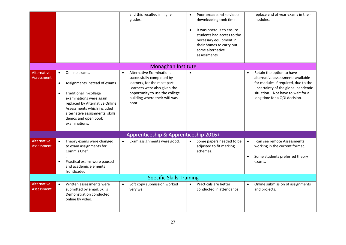|                                         |                                                                                                                                                                                                                                                                                        | and this resulted in higher<br>grades.                                                                                                                                                                                | Poor broadband so video<br>$\bullet$<br>downloading took time.<br>It was onerous to ensure<br>$\bullet$<br>students had access to the<br>necessary equipment in<br>their homes to carry out<br>some alternative<br>assessments. | replace end of year exams in their<br>modules.                                                                                                                                                                    |
|-----------------------------------------|----------------------------------------------------------------------------------------------------------------------------------------------------------------------------------------------------------------------------------------------------------------------------------------|-----------------------------------------------------------------------------------------------------------------------------------------------------------------------------------------------------------------------|---------------------------------------------------------------------------------------------------------------------------------------------------------------------------------------------------------------------------------|-------------------------------------------------------------------------------------------------------------------------------------------------------------------------------------------------------------------|
|                                         |                                                                                                                                                                                                                                                                                        | Monaghan Institute                                                                                                                                                                                                    |                                                                                                                                                                                                                                 |                                                                                                                                                                                                                   |
| <b>Alternative</b><br><b>Assessment</b> | On line exams.<br>$\bullet$<br>Assignments instead of exams.<br>$\bullet$<br>Traditional in-college<br>$\bullet$<br>examinations were again<br>replaced by Alternative Online<br>Assessments which included<br>alternative assignments, skills<br>demos and open book<br>examinations. | <b>Alternative Examinations</b><br>$\bullet$<br>successfully completed by<br>learners, for the most part.<br>Learners were also given the<br>opportunity to use the college<br>building where their wifi was<br>poor. |                                                                                                                                                                                                                                 | Retain the option to have<br>alternative assessments available<br>for modules if required, due to the<br>uncertainty of the global pandemic<br>situation. Not have to wait for a<br>long time for a QQI decision. |
|                                         |                                                                                                                                                                                                                                                                                        | Apprenticeship & Apprenticeship 2016+                                                                                                                                                                                 |                                                                                                                                                                                                                                 |                                                                                                                                                                                                                   |
| Alternative<br><b>Assessment</b>        | Theory exams were changed<br>to exam assignments for<br>Commis Chef.<br>Practical exams were paused<br>and academic elements<br>frontloaded.                                                                                                                                           | Exam assignments were good.<br>$\bullet$                                                                                                                                                                              | Some papers needed to be<br>$\bullet$<br>adjusted to fit marking<br>schemes.                                                                                                                                                    | I can see remote Assessments<br>$\bullet$<br>working in the current format.<br>Some students preferred theory<br>exams.                                                                                           |
|                                         |                                                                                                                                                                                                                                                                                        | <b>Specific Skills Training</b>                                                                                                                                                                                       |                                                                                                                                                                                                                                 |                                                                                                                                                                                                                   |
| <b>Alternative</b><br><b>Assessment</b> | Written assessments were<br>submitted by email. Skills<br>Demonstration conducted<br>online by video.                                                                                                                                                                                  | Soft copy submission worked<br>$\bullet$<br>very well.                                                                                                                                                                | Practicals are better<br>$\bullet$<br>conducted in attendance                                                                                                                                                                   | Online submission of assignments<br>$\bullet$<br>and projects.                                                                                                                                                    |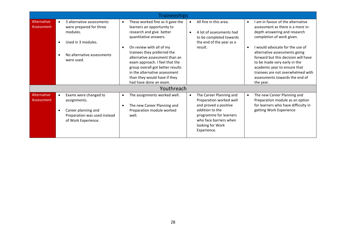|                           |                                                                                                                                                              | <b>Traineeships</b>                                                                                                                                                                                                                                                                                                                                                                                                                                                                                                                              |                                                                                                                                                                                                                                                                                                                                                                                                                 |
|---------------------------|--------------------------------------------------------------------------------------------------------------------------------------------------------------|--------------------------------------------------------------------------------------------------------------------------------------------------------------------------------------------------------------------------------------------------------------------------------------------------------------------------------------------------------------------------------------------------------------------------------------------------------------------------------------------------------------------------------------------------|-----------------------------------------------------------------------------------------------------------------------------------------------------------------------------------------------------------------------------------------------------------------------------------------------------------------------------------------------------------------------------------------------------------------|
| Alternative<br>Assessment | 3 alternative assessments<br>were prepared for three<br>modules.<br>Used in 3 modules.<br>$\bullet$<br>No alternative assessments<br>$\bullet$<br>were used. | These worked fine as it gave the<br>All fine in this area.<br>$\bullet$<br>$\bullet$<br>learners an opportunity to<br>research and give better<br>A lot of assessments had<br>$\bullet$<br>quantitative answers.<br>to be completed towards<br>the end of the year as a<br>On review with all of my<br>result.<br>trainees they preferred the<br>alternative assessment than an<br>exam approach. I feel that the<br>group overall got better results<br>in the alternative assessment<br>than they would have if they<br>had have done an exam. | I am in favour of the alternative<br>$\bullet$<br>assessment as there is a more in-<br>depth answering and research<br>completion of work given.<br>I would advocate for the use of<br>alternative assessments going<br>forward but this decision will have<br>to be made very early in the<br>academic year to ensure that<br>trainees are not overwhelmed with<br>assessments towards the end of<br>the year. |
|                           |                                                                                                                                                              | Youthreach                                                                                                                                                                                                                                                                                                                                                                                                                                                                                                                                       |                                                                                                                                                                                                                                                                                                                                                                                                                 |
| Alternative<br>Assessment | Exams were changed to<br>$\bullet$<br>assignments.<br>Career planning and<br>$\bullet$<br>Preparation was used instead<br>of Work Experience.                | The Career Planning and<br>The assignments worked well.<br>$\bullet$<br>Preparation worked well<br>and proved a positive<br>The new Career Planning and<br>$\bullet$<br>addition to the<br>Preparation module worked<br>programme for learners<br>well.<br>who face barriers when<br>looking for Work<br>Experience.                                                                                                                                                                                                                             | The new Career Planning and<br>$\bullet$<br>Preparation module as an option<br>for learners who have difficulty in<br>getting Work Experience                                                                                                                                                                                                                                                                   |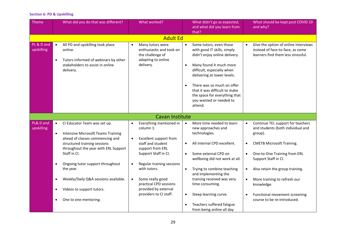#### **Section 6: PD & Upskilling**

<span id="page-29-0"></span>

| <b>Theme</b>             | What did you do that was different?                                                                                                                                                                                                                                                                                                                                                                                               | What worked?                                                                                                                                                                                                                                                                                                                     | What didn't go as expected,<br>and what did you learn from<br>that?                                                                                                                                                                                                                                                                                                                                     | What should be kept post COVID 19<br>and why?                                                                                                                                                                                                                                                                                                                                                                |
|--------------------------|-----------------------------------------------------------------------------------------------------------------------------------------------------------------------------------------------------------------------------------------------------------------------------------------------------------------------------------------------------------------------------------------------------------------------------------|----------------------------------------------------------------------------------------------------------------------------------------------------------------------------------------------------------------------------------------------------------------------------------------------------------------------------------|---------------------------------------------------------------------------------------------------------------------------------------------------------------------------------------------------------------------------------------------------------------------------------------------------------------------------------------------------------------------------------------------------------|--------------------------------------------------------------------------------------------------------------------------------------------------------------------------------------------------------------------------------------------------------------------------------------------------------------------------------------------------------------------------------------------------------------|
|                          |                                                                                                                                                                                                                                                                                                                                                                                                                                   | <b>Adult Ed</b>                                                                                                                                                                                                                                                                                                                  |                                                                                                                                                                                                                                                                                                                                                                                                         |                                                                                                                                                                                                                                                                                                                                                                                                              |
| PL & D and<br>upskilling | All PD and upskilling took place<br>$\bullet$<br>online.<br>Tutors informed of webinars by other<br>$\bullet$<br>stakeholders to assist in online<br>delivery.                                                                                                                                                                                                                                                                    | Many tutors were<br>$\bullet$<br>enthusiastic and took on<br>the challenge of<br>adapting to online<br>delivery.                                                                                                                                                                                                                 | Some tutors, even those<br>with good IT skills, simply<br>didn't enjoy online delivery.<br>Many found it much more<br>difficult, especially when<br>delivering at lower levels.<br>There was so much on offer<br>$\bullet$<br>that it was difficult to make<br>the space for everything that<br>you wanted or needed to<br>attend.                                                                      | Give the option of online interviews<br>instead of face-to-face, as some<br>learners find them less stressful.                                                                                                                                                                                                                                                                                               |
|                          |                                                                                                                                                                                                                                                                                                                                                                                                                                   | <b>Cavan Institute</b>                                                                                                                                                                                                                                                                                                           |                                                                                                                                                                                                                                                                                                                                                                                                         |                                                                                                                                                                                                                                                                                                                                                                                                              |
| PL& D and<br>upskilling  | CI Educator Team was set up.<br>$\bullet$<br><b>Intensive Microsoft Teams Training</b><br>$\bullet$<br>ahead of classes commencing and<br>structured training sessions<br>throughout the year with ERL Support<br>Staff in Cl.<br>Ongoing tutor support throughout<br>$\bullet$<br>the year.<br>Weekly/Daily Q&A sessions available.<br>$\bullet$<br>Videos to support tutors.<br>$\bullet$<br>One to one mentoring.<br>$\bullet$ | Everything mentioned in<br>$\bullet$<br>column 1.<br>Excellent support from<br>$\bullet$<br>staff and student<br>support from ERL<br>Support Staff in Cl.<br>Regular training sessions<br>$\bullet$<br>with tutors.<br>Some really good<br>$\bullet$<br>practical CPD sessions<br>provided by external<br>providers to CI staff. | More time needed to learn<br>new approaches and<br>technologies.<br>All internal CPD excellent.<br>$\bullet$<br>Some external CPD on<br>$\bullet$<br>wellbeing did not work at all.<br>Trying to combine teaching<br>$\bullet$<br>and implementing the<br>training received was very<br>time consuming.<br>Steep learning curve.<br>$\bullet$<br>Teachers suffered fatigue<br>from being online all day | Continue TEL support for teachers<br>$\bullet$<br>and students (both individual and<br>group).<br><b>CMETB Microsoft Training.</b><br>$\bullet$<br>One-to-One Training from ERL<br>$\bullet$<br>Support Staff in Cl.<br>Also retain the group training.<br>$\bullet$<br>More training to refresh our<br>$\bullet$<br>knowledge.<br>Functional movement screening<br>$\bullet$<br>course to be re-introduced. |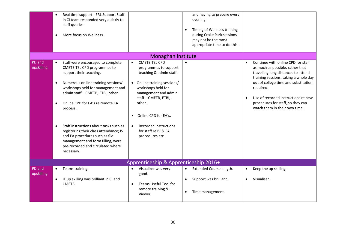|                      | $\bullet$              | Real time support - ERL Support Staff<br>in CI team responded very quickly to<br>staff queries.<br>More focus on Wellness.                                                                                 |                                                                                                             | and having to prepare every<br>evening.<br>Timing of Wellness training<br>$\bullet$<br>during Croke Park sessions<br>may not be the most<br>appropriate time to do this. |                                                                                                                                                                     |
|----------------------|------------------------|------------------------------------------------------------------------------------------------------------------------------------------------------------------------------------------------------------|-------------------------------------------------------------------------------------------------------------|--------------------------------------------------------------------------------------------------------------------------------------------------------------------------|---------------------------------------------------------------------------------------------------------------------------------------------------------------------|
|                      |                        |                                                                                                                                                                                                            | <b>Monaghan Institute</b>                                                                                   |                                                                                                                                                                          |                                                                                                                                                                     |
| PD and<br>upskilling | $\bullet$              | Staff were encouraged to complete<br>CMETB TEL CPD programmes to<br>support their teaching.                                                                                                                | <b>CMETB TEL CPD</b><br>$\bullet$<br>programmes to support<br>teaching & admin staff.                       |                                                                                                                                                                          | Continue with online CPD for staff<br>$\bullet$<br>as much as possible, rather that<br>travelling long distances to attend<br>training sessions, taking a whole day |
|                      | $\bullet$              | Numerous on line training sessions/<br>workshops held for management and<br>admin staff - CMETB, ETBI, other.                                                                                              | On line training sessions/<br>$\bullet$<br>workshops held for<br>management and admin<br>staff-CMETB, ETBI, |                                                                                                                                                                          | out of college time and substitution<br>required.<br>Use of recorded instructions re new<br>$\bullet$                                                               |
|                      | $\bullet$              | Online CPD for EA's re remote EA<br>process.                                                                                                                                                               | other.<br>Online CPD for EA's.<br>$\bullet$                                                                 |                                                                                                                                                                          | procedures for staff, so they can<br>watch them in their own time.                                                                                                  |
|                      | $\bullet$              | Staff instructions about tasks such as<br>registering their class attendance; IV<br>and EA procedures such as file<br>management and form filling, were<br>pre-recorded and circulated where<br>necessary. | Recorded instructions<br>$\bullet$<br>for staff re IV & EA<br>procedures etc.                               |                                                                                                                                                                          |                                                                                                                                                                     |
|                      |                        |                                                                                                                                                                                                            | Apprenticeship & Apprenticeship 2016+                                                                       |                                                                                                                                                                          |                                                                                                                                                                     |
| PD and<br>upskilling | $\bullet$<br>$\bullet$ | Teams training.<br>IT up skilling was brilliant in CI and<br>CMETB.                                                                                                                                        | Visualizer was very<br>good.<br>Teams Useful Tool for<br>$\bullet$<br>remote training &<br>Viewer.          | Extended Course length.<br>$\bullet$<br>Support was brilliant.<br>$\bullet$<br>Time management.<br>$\bullet$                                                             | Keep the up skilling.<br>$\bullet$<br>Visualiser.<br>$\bullet$                                                                                                      |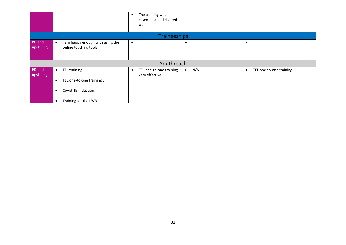|                      |                                                                         | The training was<br>$\bullet$<br>essential and delivered<br>well. |                      |                                       |
|----------------------|-------------------------------------------------------------------------|-------------------------------------------------------------------|----------------------|---------------------------------------|
|                      |                                                                         | Traineeships                                                      |                      |                                       |
| PD and<br>upskilling | I am happy enough with using the<br>$\bullet$<br>online teaching tools. | $\bullet$                                                         | - 1                  | $\bullet$                             |
|                      |                                                                         | Youthreach                                                        |                      |                                       |
| PD and<br>upskilling | TEL training.<br>$\bullet$                                              | TEL one-to-one training<br>$\bullet$<br>very effective.           | $N/A$ .<br>$\bullet$ | TEL one-to-one training.<br>$\bullet$ |
|                      | TEL one-to-one training.<br>$\bullet$                                   |                                                                   |                      |                                       |
|                      | Covid-19 Induction.                                                     |                                                                   |                      |                                       |
|                      | Training for the LWR.                                                   |                                                                   |                      |                                       |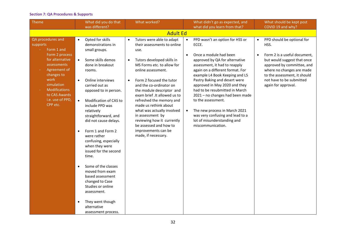#### **Section 7: QA Procedures & Supports**

<span id="page-32-0"></span>

| <b>Theme</b>                                                                                                                                                                                                                 | What did you do that                                                                                                                                                                                                                                                                                                                                                                                                                                                                                                                                                                                                   | What worked?                                                                                                                                                                                                                                                                                                                                                                                                                                                                                                                                   | What didn't go as expected, and                                                                                                                                                                                                                                                                                                                                                                                                                                                                                             | What should be kept post                                                                                                                                                                                                                                     |  |  |  |
|------------------------------------------------------------------------------------------------------------------------------------------------------------------------------------------------------------------------------|------------------------------------------------------------------------------------------------------------------------------------------------------------------------------------------------------------------------------------------------------------------------------------------------------------------------------------------------------------------------------------------------------------------------------------------------------------------------------------------------------------------------------------------------------------------------------------------------------------------------|------------------------------------------------------------------------------------------------------------------------------------------------------------------------------------------------------------------------------------------------------------------------------------------------------------------------------------------------------------------------------------------------------------------------------------------------------------------------------------------------------------------------------------------------|-----------------------------------------------------------------------------------------------------------------------------------------------------------------------------------------------------------------------------------------------------------------------------------------------------------------------------------------------------------------------------------------------------------------------------------------------------------------------------------------------------------------------------|--------------------------------------------------------------------------------------------------------------------------------------------------------------------------------------------------------------------------------------------------------------|--|--|--|
|                                                                                                                                                                                                                              | was different?                                                                                                                                                                                                                                                                                                                                                                                                                                                                                                                                                                                                         |                                                                                                                                                                                                                                                                                                                                                                                                                                                                                                                                                | what did you learn from that?                                                                                                                                                                                                                                                                                                                                                                                                                                                                                               | COVID 19 and why?                                                                                                                                                                                                                                            |  |  |  |
|                                                                                                                                                                                                                              |                                                                                                                                                                                                                                                                                                                                                                                                                                                                                                                                                                                                                        |                                                                                                                                                                                                                                                                                                                                                                                                                                                                                                                                                |                                                                                                                                                                                                                                                                                                                                                                                                                                                                                                                             |                                                                                                                                                                                                                                                              |  |  |  |
| QA procedures and<br>supports<br>Form 1 and<br>Form 2 process<br>for alternative<br>assessments<br>Agreement of<br>changes to<br>work<br>simulation<br><b>Modifications</b><br>to CAS Awards<br>i.e. use of PPD,<br>CPP etc. | Opted for skills<br>$\bullet$<br>demonstrations in<br>small groups.<br>Some skills demos<br>$\bullet$<br>done in breakout<br>rooms.<br>Online interviews<br>$\bullet$<br>carried out as<br>opposed to in person.<br>Modification of CAS to<br>$\bullet$<br>include PPD was<br>relatively<br>straightforward, and<br>did not cause delays.<br>Form 1 and Form 2<br>$\bullet$<br>were rather<br>confusing, especially<br>when they were<br>issued for the second<br>time.<br>Some of the classes<br>$\bullet$<br>moved from exam<br>based assessment<br>changed to Case<br>Studies or online<br>assessment.<br>$\bullet$ | <b>Adult Ed</b><br>Tutors were able to adapt<br>$\bullet$<br>their assessments to online<br>use.<br>Tutors developed skills in<br>$\bullet$<br>MS Forms etc. to allow for<br>online assessment.<br>Form 2 focused the tutor<br>$\bullet$<br>and the co-ordinator on<br>the module descriptor and<br>exam brief . It allowed us to<br>refreshed the memory and<br>made us rethink about<br>what was actually involved<br>in assessment by<br>reviewing how it currently<br>be assessed and how to<br>improvements can be<br>made, if necessary. | PPD wasn't an option for HSS or<br>$\bullet$<br>ECCE.<br>Once a module had been<br>approved by QA for alternative<br>assessment, it had to reapply<br>again on a different format. For<br>example L4 Book Keeping and L5<br>Pastry Baking and desert were<br>approved in May 2020 and they<br>had to be resubmitted in March<br>2021 - no changes had been made<br>to the assessment.<br>The new process in March 2021<br>$\bullet$<br>was very confusing and lead to a<br>lot of misunderstanding and<br>miscommunication. | PPD should be optional for<br>$\bullet$<br>HSS.<br>Form 2 is a useful document,<br>but would suggest that once<br>approved by committee, and<br>where no changes are made<br>to the assessment, it should<br>not have to be submitted<br>again for approval. |  |  |  |
|                                                                                                                                                                                                                              | They went though<br>alternative<br>assessment process.                                                                                                                                                                                                                                                                                                                                                                                                                                                                                                                                                                 |                                                                                                                                                                                                                                                                                                                                                                                                                                                                                                                                                |                                                                                                                                                                                                                                                                                                                                                                                                                                                                                                                             |                                                                                                                                                                                                                                                              |  |  |  |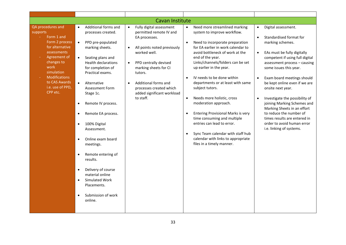|                                                                                                                                                                                                                              |                                                                                                                                                                                                                                                                                                                                                                                                                                                                                                                                                                                                                                                            | <b>Cavan Institute</b>                                                                                                                                                                                                                                                                                                |                                                                                                                                                                                                                                                                                                                                                                                                                                                                                                                                                                                                                                                                                |                                                                                                                                                                                                                                                                                                                                                                                                                                                                                                                                                                          |
|------------------------------------------------------------------------------------------------------------------------------------------------------------------------------------------------------------------------------|------------------------------------------------------------------------------------------------------------------------------------------------------------------------------------------------------------------------------------------------------------------------------------------------------------------------------------------------------------------------------------------------------------------------------------------------------------------------------------------------------------------------------------------------------------------------------------------------------------------------------------------------------------|-----------------------------------------------------------------------------------------------------------------------------------------------------------------------------------------------------------------------------------------------------------------------------------------------------------------------|--------------------------------------------------------------------------------------------------------------------------------------------------------------------------------------------------------------------------------------------------------------------------------------------------------------------------------------------------------------------------------------------------------------------------------------------------------------------------------------------------------------------------------------------------------------------------------------------------------------------------------------------------------------------------------|--------------------------------------------------------------------------------------------------------------------------------------------------------------------------------------------------------------------------------------------------------------------------------------------------------------------------------------------------------------------------------------------------------------------------------------------------------------------------------------------------------------------------------------------------------------------------|
| QA procedures and<br>supports<br>Form 1 and<br>Form 2 process<br>for alternative<br>assessments<br>Agreement of<br>changes to<br>work<br>simulation<br><b>Modifications</b><br>to CAS Awards<br>i.e. use of PPD,<br>CPP etc. | Additional forms and<br>$\bullet$<br>processes created.<br>PPD pre-populated<br>$\bullet$<br>marking sheets.<br>Seating plans and<br>$\bullet$<br><b>Health declarations</b><br>for completion of<br>Practical exams.<br>Alternative<br>$\bullet$<br><b>Assessment Form</b><br>Stage 1c.<br>Remote IV process.<br>$\bullet$<br>Remote EA process.<br>$\bullet$<br>100% Digital<br>$\bullet$<br>Assessment.<br>Online exam board<br>$\bullet$<br>meetings.<br>Remote entering of<br>$\bullet$<br>results.<br>Delivery of course<br>$\bullet$<br>material online<br>Simulated Work<br>$\bullet$<br>Placements.<br>Submission of work<br>$\bullet$<br>online. | Fully digital assessment<br>$\bullet$<br>permitted remote IV and<br>EA processes.<br>All points noted previously<br>$\bullet$<br>worked well.<br>PPD centrally devised<br>marking sheets for CI<br>tutors.<br>Additional forms and<br>$\bullet$<br>processes created which<br>added significant workload<br>to staff. | Need more streamlined marking<br>$\bullet$<br>system to improve workflow.<br>Need to incorporate preparation<br>$\bullet$<br>for EA earlier in work calendar to<br>avoid bottleneck of work at the<br>end of the year.<br>Links/channels/folders can be set<br>up earlier in the year.<br>IV needs to be done within<br>$\bullet$<br>departments or at least with same<br>subject tutors.<br>Needs more holistic, cross<br>$\bullet$<br>moderation approach.<br><b>Entering Provisional Marks is very</b><br>time consuming and multiple<br>entries can lead to error.<br>Sync Team calendar with staff hub<br>calendar with links to appropriate<br>files in a timely manner. | Digital assessment.<br>$\bullet$<br>Standardised format for<br>$\bullet$<br>marking schemes.<br>EAs must be fully digitally<br>$\bullet$<br>competent if using full digital<br>assessment process - causing<br>some issues this year.<br>Exam board meetings should<br>$\bullet$<br>be kept online even if we are<br>onsite next year.<br>Investigate the possibility of<br>$\bullet$<br>joining Marking Schemes and<br>Marking Sheets in an effort<br>to reduce the number of<br>times results are entered in<br>order to avoid human error<br>i.e. linking of systems. |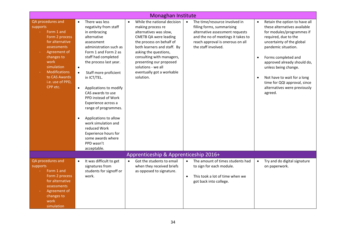| Monaghan Institute                                                                                                                                                                                                           |                                                                                                                                                                                                                                                                                                                                                                                                                                                                                                                                                                 |                                                                                                                                                                                                                                                                                                                                     |                                                                                                                                                                                                 |                                                                                                                                                                                                                                                                                                                                                                                          |
|------------------------------------------------------------------------------------------------------------------------------------------------------------------------------------------------------------------------------|-----------------------------------------------------------------------------------------------------------------------------------------------------------------------------------------------------------------------------------------------------------------------------------------------------------------------------------------------------------------------------------------------------------------------------------------------------------------------------------------------------------------------------------------------------------------|-------------------------------------------------------------------------------------------------------------------------------------------------------------------------------------------------------------------------------------------------------------------------------------------------------------------------------------|-------------------------------------------------------------------------------------------------------------------------------------------------------------------------------------------------|------------------------------------------------------------------------------------------------------------------------------------------------------------------------------------------------------------------------------------------------------------------------------------------------------------------------------------------------------------------------------------------|
| QA procedures and<br>supports<br>Form 1 and<br>Form 2 process<br>for alternative<br>assessments<br>Agreement of<br>changes to<br>work<br>simulation<br><b>Modifications</b><br>to CAS Awards<br>i.e. use of PPD,<br>CPP etc. | There was less<br>$\bullet$<br>negativity from staff<br>in embracing<br>alternative<br>assessment<br>administration such as<br>Form 1 and Form 2 as<br>staff had completed<br>the process last year.<br>$\bullet$<br>Staff more proficient<br>$\bullet$<br>in ICT/TEL.<br>Applications to modify<br>$\bullet$<br>CAS awards to use<br>PPD instead of Work<br>Experience across a<br>range of programmes.<br>Applications to allow<br>$\bullet$<br>work simulation and<br>reduced Work<br>Experience hours for<br>some awards where<br>PPD wasn't<br>acceptable. | While the national decision<br>$\bullet$<br>making process re<br>alternatives was slow,<br><b>CMETB QA were leading</b><br>the process on behalf of<br>both learners and staff. By<br>asking the questions,<br>consulting with managers,<br>presenting our proposed<br>solutions - we all<br>eventually got a workable<br>solution. | The time/resource involved in<br>filling forms, summarising<br>alternative assessment requests<br>and the no of meetings it takes to<br>reach approval is onerous on all<br>the staff involved. | Retain the option to have all<br>$\bullet$<br>these alternatives available<br>for modules/programmes if<br>required, due to the<br>uncertainty of the global<br>pandemic situation.<br>Forms completed and<br>approved already should do,<br>unless being change.<br>Not have to wait for a long<br>$\bullet$<br>time for QQI approval, since<br>alternatives were previously<br>agreed. |
|                                                                                                                                                                                                                              |                                                                                                                                                                                                                                                                                                                                                                                                                                                                                                                                                                 | Apprenticeship & Apprenticeship 2016+                                                                                                                                                                                                                                                                                               |                                                                                                                                                                                                 |                                                                                                                                                                                                                                                                                                                                                                                          |
| QA procedures and<br>supports<br>Form 1 and<br>Form 2 process<br>for alternative<br>assessments<br>Agreement of<br>changes to<br>work<br>simulation                                                                          | It was difficult to get<br>$\bullet$<br>signatures from<br>students for signoff or<br>work.                                                                                                                                                                                                                                                                                                                                                                                                                                                                     | Got the students to email<br>$\bullet$<br>when they received briefs<br>as opposed to signature.                                                                                                                                                                                                                                     | The amount of times students had<br>$\bullet$<br>to sign for each module.<br>This took a lot of time when we<br>$\bullet$<br>got back into college.                                             | Try and do digital signature<br>$\bullet$<br>on paperwork.                                                                                                                                                                                                                                                                                                                               |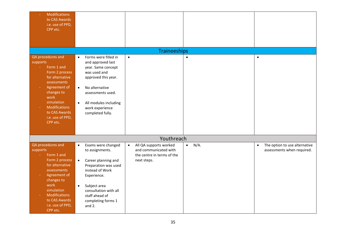| <b>Modifications</b><br>to CAS Awards<br>i.e. use of PPD,<br>CPP etc.                                                                                                                                                        |                                                                                                                                                                                                                                                            |                                                                                                           |                      |                                                                          |
|------------------------------------------------------------------------------------------------------------------------------------------------------------------------------------------------------------------------------|------------------------------------------------------------------------------------------------------------------------------------------------------------------------------------------------------------------------------------------------------------|-----------------------------------------------------------------------------------------------------------|----------------------|--------------------------------------------------------------------------|
|                                                                                                                                                                                                                              |                                                                                                                                                                                                                                                            | <b>Traineeships</b>                                                                                       |                      |                                                                          |
| QA procedures and<br>supports<br>Form 1 and<br>Form 2 process<br>for alternative<br>assessments<br>Agreement of<br>changes to<br>work<br>simulation<br><b>Modifications</b><br>to CAS Awards<br>i.e. use of PPD,<br>CPP etc. | Forms were filled in<br>$\bullet$<br>and approved last<br>year. Same concept<br>was used and<br>approved this year.<br>No alternative<br>$\bullet$<br>assessments used.<br>$\bullet$<br>All modules including<br>work experience<br>completed fully.       | $\bullet$                                                                                                 | $\bullet$            | $\bullet$                                                                |
|                                                                                                                                                                                                                              |                                                                                                                                                                                                                                                            | Youthreach                                                                                                |                      |                                                                          |
| QA procedures and<br>supports<br>Form 1 and<br>Form 2 process<br>for alternative<br>assessments<br>Agreement of<br>changes to<br>work<br>simulation<br><b>Modifications</b><br>to CAS Awards<br>i.e. use of PPD,<br>CPP etc. | Exams were changed<br>$\bullet$<br>to assignments.<br>Career planning and<br>$\bullet$<br>Preparation was used<br>instead of Work<br>Experience.<br>Subject area<br>$\bullet$<br>consultation with all<br>staff ahead of<br>completing forms 1<br>and $2.$ | All QA supports worked<br>$\bullet$<br>and communicated with<br>the centre in terms of the<br>next steps. | $N/A$ .<br>$\bullet$ | The option to use alternative<br>$\bullet$<br>assessments when required. |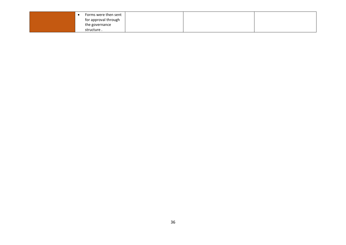|  | Forms were then sent |  |  |
|--|----------------------|--|--|
|  | for approval through |  |  |
|  | the governance       |  |  |
|  | structure.           |  |  |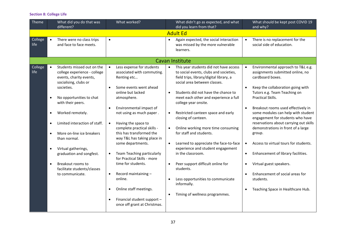#### **Section 8: College Life**

<span id="page-37-0"></span>

| <b>Theme</b>    | What did you do that was<br>different?                                                                                                                                                                                                                                                                                                                                                                                                                                                               | What worked?                                                                                                                                                                                                                                                                                                                                                                                                                                                                                                                                                                                                                          | What didn't go as expected, and what<br>did you learn from that?                                                                                                                                                                                                                                                                                                                                                                                                                                                                                                                                                                                                                                                                                      | What should be kept post COVID 19<br>and why?                                                                                                                                                                                                                                                                                                                                                                                                                                                                                                                                                                                                                                                                |
|-----------------|------------------------------------------------------------------------------------------------------------------------------------------------------------------------------------------------------------------------------------------------------------------------------------------------------------------------------------------------------------------------------------------------------------------------------------------------------------------------------------------------------|---------------------------------------------------------------------------------------------------------------------------------------------------------------------------------------------------------------------------------------------------------------------------------------------------------------------------------------------------------------------------------------------------------------------------------------------------------------------------------------------------------------------------------------------------------------------------------------------------------------------------------------|-------------------------------------------------------------------------------------------------------------------------------------------------------------------------------------------------------------------------------------------------------------------------------------------------------------------------------------------------------------------------------------------------------------------------------------------------------------------------------------------------------------------------------------------------------------------------------------------------------------------------------------------------------------------------------------------------------------------------------------------------------|--------------------------------------------------------------------------------------------------------------------------------------------------------------------------------------------------------------------------------------------------------------------------------------------------------------------------------------------------------------------------------------------------------------------------------------------------------------------------------------------------------------------------------------------------------------------------------------------------------------------------------------------------------------------------------------------------------------|
|                 |                                                                                                                                                                                                                                                                                                                                                                                                                                                                                                      |                                                                                                                                                                                                                                                                                                                                                                                                                                                                                                                                                                                                                                       | <b>Adult Ed</b>                                                                                                                                                                                                                                                                                                                                                                                                                                                                                                                                                                                                                                                                                                                                       |                                                                                                                                                                                                                                                                                                                                                                                                                                                                                                                                                                                                                                                                                                              |
| College<br>life | There were no class trips<br>$\bullet$<br>and face to face meets.                                                                                                                                                                                                                                                                                                                                                                                                                                    | $\bullet$                                                                                                                                                                                                                                                                                                                                                                                                                                                                                                                                                                                                                             | Again expected, the social interaction<br>$\bullet$<br>was missed by the more vulnerable<br>learners.                                                                                                                                                                                                                                                                                                                                                                                                                                                                                                                                                                                                                                                 | There is no replacement for the<br>$\bullet$<br>social side of education.                                                                                                                                                                                                                                                                                                                                                                                                                                                                                                                                                                                                                                    |
|                 |                                                                                                                                                                                                                                                                                                                                                                                                                                                                                                      |                                                                                                                                                                                                                                                                                                                                                                                                                                                                                                                                                                                                                                       | Cavan Institute                                                                                                                                                                                                                                                                                                                                                                                                                                                                                                                                                                                                                                                                                                                                       |                                                                                                                                                                                                                                                                                                                                                                                                                                                                                                                                                                                                                                                                                                              |
| College<br>life | Students missed out on the<br>$\bullet$<br>college experience - college<br>events, charity events,<br>socialising, clubs or<br>societies.<br>No opportunities to chat<br>$\bullet$<br>with their peers.<br>Worked remotely.<br>$\bullet$<br>Limited interaction of staff.<br>$\bullet$<br>More on-line ice breakers<br>$\bullet$<br>than normal.<br>Virtual gatherings,<br>$\bullet$<br>graduation and songfest.<br>Breakout rooms to<br>$\bullet$<br>facilitate students/classes<br>to communicate. | Less expense for students<br>associated with commuting.<br>Renting etc<br>Some events went ahead<br>$\bullet$<br>online but lacked<br>atmosphere.<br>Environmental impact of<br>$\bullet$<br>not using as much paper.<br>Having the space to<br>$\bullet$<br>complete practical skills -<br>this has transformed the<br>way T&L has taking place in<br>some departments.<br><b>Team Teaching particularly</b><br>$\bullet$<br>for Practical Skills - more<br>time for students.<br>Record maintaining -<br>$\bullet$<br>online.<br>Online staff meetings.<br>Financial student support -<br>$\bullet$<br>once off grant at Christmas. | This year students did not have access<br>$\bullet$<br>to social events, clubs and societies,<br>field trips, library/digital library, a<br>social area between classes.<br>Students did not have the chance to<br>$\bullet$<br>meet each other and experience a full<br>college year onsite.<br>Restricted canteen space and early<br>$\bullet$<br>closing of canteen.<br>Online working more time consuming<br>$\bullet$<br>for staff and students.<br>Learned to appreciate the face-to-face<br>$\bullet$<br>experience and student engagement<br>in the classroom.<br>Peer support difficult online for<br>$\bullet$<br>students.<br>Less opportunities to communicate<br>$\bullet$<br>informally.<br>Timing of wellness programmes.<br>$\bullet$ | Environmental approach to T&L e.g.<br>$\bullet$<br>assignments submitted online, no<br>cardboard boxes.<br>Keep the collaboration going with<br>$\bullet$<br>Tutors e.g. Team Teaching on<br><b>Practical Skills.</b><br>Breakout rooms used effectively in<br>$\bullet$<br>some modules can help with student<br>engagement for students who have<br>reservations about carrying out skills<br>demonstrations in front of a large<br>group.<br>Access to virtual tours for students.<br>$\bullet$<br>Enhancement of library facilities.<br>$\bullet$<br>Virtual guest speakers.<br>$\bullet$<br>Enhancement of social areas for<br>$\bullet$<br>students.<br>Teaching Space in Healthcare Hub.<br>$\bullet$ |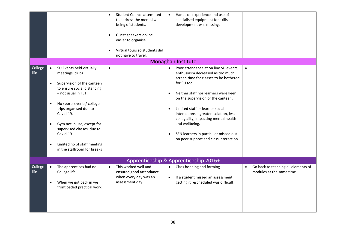|                 |                                                                                                                                                                                                                                                                                                                                                                                                                | <b>Student Council attempted</b><br>$\bullet$<br>to address the mental well-<br>being of students.<br>Guest speakers online<br>$\bullet$<br>easier to organise.<br>Virtual tours so students did<br>$\bullet$<br>not have to travel. | Hands on experience and use of<br>$\bullet$<br>specialised equipment for skills<br>development was missing.                                                                                                                                                                                                                                                                                                                                                                        |                                                                               |
|-----------------|----------------------------------------------------------------------------------------------------------------------------------------------------------------------------------------------------------------------------------------------------------------------------------------------------------------------------------------------------------------------------------------------------------------|--------------------------------------------------------------------------------------------------------------------------------------------------------------------------------------------------------------------------------------|------------------------------------------------------------------------------------------------------------------------------------------------------------------------------------------------------------------------------------------------------------------------------------------------------------------------------------------------------------------------------------------------------------------------------------------------------------------------------------|-------------------------------------------------------------------------------|
|                 |                                                                                                                                                                                                                                                                                                                                                                                                                |                                                                                                                                                                                                                                      | Monaghan Institute                                                                                                                                                                                                                                                                                                                                                                                                                                                                 |                                                                               |
| College<br>life | SU Events held virtually -<br>$\bullet$<br>meetings, clubs.<br>Supervision of the canteen<br>$\bullet$<br>to ensure social distancing<br>- not usual in FET.<br>No sports events/ college<br>$\bullet$<br>trips organised due to<br>Covid-19.<br>Gym not in use, except for<br>$\bullet$<br>supervised classes, due to<br>Covid-19.<br>Limited no of staff meeting<br>$\bullet$<br>in the staffroom for breaks | $\bullet$                                                                                                                                                                                                                            | Poor attendance at on line SU events,<br>enthusiasm decreased as too much<br>screen time for classes to be bothered<br>for SU too.<br>Neither staff nor learners were keen<br>$\bullet$<br>on the supervision of the canteen.<br>Limited staff or learner social<br>$\bullet$<br>interactions - greater isolation, less<br>collegiality, impacting mental health<br>and wellbeing.<br>SEN learners in particular missed out<br>$\bullet$<br>on peer support and class interaction. | $\bullet$                                                                     |
|                 |                                                                                                                                                                                                                                                                                                                                                                                                                |                                                                                                                                                                                                                                      | Apprenticeship & Apprenticeship 2016+                                                                                                                                                                                                                                                                                                                                                                                                                                              |                                                                               |
| College<br>life | The apprentices had no<br>$\bullet$<br>College life.<br>When we got back in we<br>$\bullet$<br>frontloaded practical work.                                                                                                                                                                                                                                                                                     | This worked well and<br>$\bullet$<br>ensured good attendance<br>when every day was an<br>assessment day.                                                                                                                             | Class bonding and forming.<br>$\bullet$<br>If a student missed an assessment<br>$\bullet$<br>getting it rescheduled was difficult.                                                                                                                                                                                                                                                                                                                                                 | Go back to teaching all elements of<br>$\bullet$<br>modules at the same time. |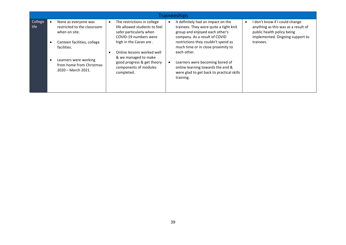|                 | <b>Traineeships</b>    |                                                                                                                                                                                               |  |                                                                                                                                                                                                                                                                       |                        |                                                                                                                                                                                                                                                                                                                                                                               |           |                                                                                                                                                     |  |
|-----------------|------------------------|-----------------------------------------------------------------------------------------------------------------------------------------------------------------------------------------------|--|-----------------------------------------------------------------------------------------------------------------------------------------------------------------------------------------------------------------------------------------------------------------------|------------------------|-------------------------------------------------------------------------------------------------------------------------------------------------------------------------------------------------------------------------------------------------------------------------------------------------------------------------------------------------------------------------------|-----------|-----------------------------------------------------------------------------------------------------------------------------------------------------|--|
| College<br>life | $\bullet$<br>$\bullet$ | None as everyone was<br>restricted to the classroom<br>when on site.<br>Canteen facilities, college<br>facilities.<br>Learners were working<br>from home from Christmas<br>2020 - March 2021. |  | The restrictions in college<br>life allowed students to feel<br>safer particularly when<br>COVID-19 numbers were<br>high in the Cavan are.<br>Online lessons worked well<br>& we managed to make<br>good progress & get theory<br>components of modules<br>completed. | $\bullet$<br>$\bullet$ | It definitely had an impact on the<br>trainees. They were quite a tight knit<br>group and enjoyed each other's<br>company. As a result of COVID<br>restrictions they couldn't spend as<br>much time or in close proximity to<br>each other.<br>Learners were becoming bored of<br>online learning towards the end &<br>were glad to get back to practical skills<br>training. | $\bullet$ | I don't know if I could change<br>anything as this was as a result of<br>public health policy being<br>implemented. Ongoing support to<br>trainees. |  |
|                 |                        |                                                                                                                                                                                               |  |                                                                                                                                                                                                                                                                       |                        |                                                                                                                                                                                                                                                                                                                                                                               |           |                                                                                                                                                     |  |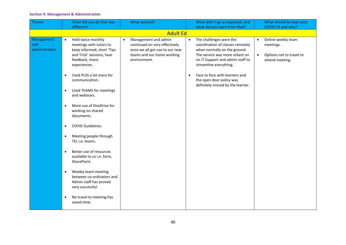#### **Section 9: Management & Administration**

<span id="page-40-0"></span>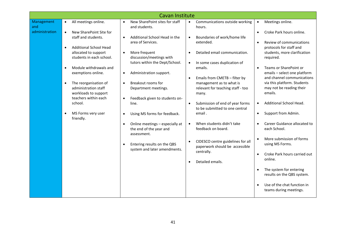|                                     |                                                                                                                                                                                                                                                                                                                                                                                                                             | Cavan Institute                                                                                                                                                                                                                                                                                                                                                                                                                                                                                                                                                                                           |                                                                                                                                                                                                                                                                                                                                                                                                                                                                                                                                                                                                                                              |                                                                                                                                                                                                                                                                                                                                                                                                                                                                                                                                                                                                                                                                                                                                                                             |
|-------------------------------------|-----------------------------------------------------------------------------------------------------------------------------------------------------------------------------------------------------------------------------------------------------------------------------------------------------------------------------------------------------------------------------------------------------------------------------|-----------------------------------------------------------------------------------------------------------------------------------------------------------------------------------------------------------------------------------------------------------------------------------------------------------------------------------------------------------------------------------------------------------------------------------------------------------------------------------------------------------------------------------------------------------------------------------------------------------|----------------------------------------------------------------------------------------------------------------------------------------------------------------------------------------------------------------------------------------------------------------------------------------------------------------------------------------------------------------------------------------------------------------------------------------------------------------------------------------------------------------------------------------------------------------------------------------------------------------------------------------------|-----------------------------------------------------------------------------------------------------------------------------------------------------------------------------------------------------------------------------------------------------------------------------------------------------------------------------------------------------------------------------------------------------------------------------------------------------------------------------------------------------------------------------------------------------------------------------------------------------------------------------------------------------------------------------------------------------------------------------------------------------------------------------|
| Management<br>and<br>administration | All meetings online.<br>$\bullet$<br>New SharePoint Site for<br>$\bullet$<br>staff and students.<br><b>Additional School Head</b><br>$\bullet$<br>allocated to support<br>students in each school.<br>Module withdrawals and<br>$\bullet$<br>exemptions online.<br>The reorganisation of<br>$\bullet$<br>administration staff<br>workloads to support<br>teachers within each<br>school.<br>MS Forms very user<br>friendly. | New SharePoint sites for staff<br>$\bullet$<br>and students.<br>Additional School Head in the<br>$\bullet$<br>area of Services.<br>More frequent<br>$\bullet$<br>discussion/meetings with<br>tutors within the Dept/School.<br>Administration support.<br>$\bullet$<br>Breakout rooms for<br>$\bullet$<br>Department meetings.<br>Feedback given to students on-<br>$\bullet$<br>line.<br>Using MS forms for feedback.<br>$\bullet$<br>Online meetings - especially at<br>$\bullet$<br>the end of the year and<br>assessment.<br>Entering results on the QBS<br>$\bullet$<br>system and later amendments. | Communications outside working<br>$\bullet$<br>hours.<br>Boundaries of work/home life<br>$\bullet$<br>extended.<br>Detailed email communication.<br>$\bullet$<br>In some cases duplication of<br>$\bullet$<br>emails.<br>Emails from CMETB - filter by<br>$\bullet$<br>management as to what is<br>relevant for teaching staff - too<br>many.<br>Submission of end of year forms<br>$\bullet$<br>to be submitted to one central<br>email.<br>When students didn't take<br>$\bullet$<br>feedback on board.<br>CIDESCO centre guidelines for all<br>$\bullet$<br>paperwork should be accessible<br>centrally.<br>Detailed emails.<br>$\bullet$ | Meetings online.<br>$\bullet$<br>Croke Park hours online.<br>$\bullet$<br>Review of communications<br>$\bullet$<br>protocols for staff and<br>students, more clarification<br>required.<br>Teams or SharePoint or<br>$\bullet$<br>emails - select one platform<br>and channel communications<br>via this platform. Students<br>may not be reading their<br>emails.<br>Additional School Head.<br>$\bullet$<br>Support from Admin.<br>$\bullet$<br>Career Guidance allocated to<br>$\bullet$<br>each School.<br>More submission of forms<br>$\bullet$<br>using MS Forms.<br>Croke Park hours carried out<br>$\bullet$<br>online.<br>The system for entering<br>$\bullet$<br>results on the QBS system.<br>Use of the chat function in<br>$\bullet$<br>teams during meetings. |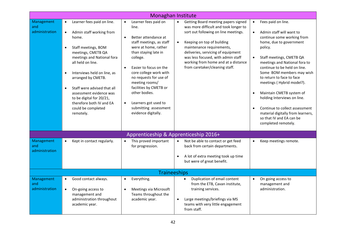|                                     |                                                                                                                                                                                                                                                                                                                                                                                                                                            | Monaghan Institute                                                                                                                                                                                                                                                                                                                                                                                                   |                                                                                                                                                                                                                                                                                                                                                   |                                                                                                                                                                                                                                                                                                                                                                                                                                                                                                                                                              |
|-------------------------------------|--------------------------------------------------------------------------------------------------------------------------------------------------------------------------------------------------------------------------------------------------------------------------------------------------------------------------------------------------------------------------------------------------------------------------------------------|----------------------------------------------------------------------------------------------------------------------------------------------------------------------------------------------------------------------------------------------------------------------------------------------------------------------------------------------------------------------------------------------------------------------|---------------------------------------------------------------------------------------------------------------------------------------------------------------------------------------------------------------------------------------------------------------------------------------------------------------------------------------------------|--------------------------------------------------------------------------------------------------------------------------------------------------------------------------------------------------------------------------------------------------------------------------------------------------------------------------------------------------------------------------------------------------------------------------------------------------------------------------------------------------------------------------------------------------------------|
| Management<br>and<br>administration | Learner fees paid on line.<br>$\bullet$<br>Admin staff working from<br>$\bullet$<br>home.<br>Staff meetings, BOM<br>$\bullet$<br>meetings, CMETB QA<br>meetings and National fora<br>all held on line.<br>Interviews held on line, as<br>$\bullet$<br>arranged by CMETB.<br>Staff were advised that all<br>$\bullet$<br>assessment evidence was<br>to be digital for 20/21,<br>therefore both IV and EA<br>could be completed<br>remotely. | Learner fees paid on<br>$\bullet$<br>line.<br>Better attendance at<br>$\bullet$<br>staff meetings, as staff<br>were at home, rather<br>than staying late in<br>college.<br>Easier to focus on the<br>$\bullet$<br>core college work with<br>no requests for use of<br>meeting rooms/<br>facilities by CMETB or<br>other bodies.<br>Learners got used to<br>$\bullet$<br>submitting assessment<br>evidence digitally. | Getting Board meeting papers signed<br>was more difficult and took longer to<br>sort out following on line meetings.<br>Keeping on top of building<br>$\bullet$<br>maintenance requirements,<br>deliveries, servicing of equipment<br>was less focused, with admin staff<br>working from home and at a distance<br>from caretaker/cleaning staff. | Fees paid on line.<br>$\bullet$<br>Admin staff will want to<br>$\bullet$<br>continue some working from<br>home, due to government<br>policy.<br>Staff meetings, CMETB QA<br>$\bullet$<br>meetings and National fora to<br>continue to be held on line.<br>Some BOM members may wish<br>to return to face to face<br>meetings (Hybrid model?).<br>Maintain CMETB system of<br>$\bullet$<br>holding Interviews on line.<br>Continue to collect assessment<br>$\bullet$<br>material digitally from learners,<br>so that IV and EA can be<br>completed remotely. |
|                                     |                                                                                                                                                                                                                                                                                                                                                                                                                                            | Apprenticeship & Apprenticeship 2016+                                                                                                                                                                                                                                                                                                                                                                                |                                                                                                                                                                                                                                                                                                                                                   |                                                                                                                                                                                                                                                                                                                                                                                                                                                                                                                                                              |
| Management<br>and<br>administration | Kept in contact regularly.                                                                                                                                                                                                                                                                                                                                                                                                                 | This proved important<br>$\bullet$<br>for progression.                                                                                                                                                                                                                                                                                                                                                               | Not be able to contact or get feed<br>$\bullet$<br>back from certain departments.<br>A lot of extra meeting took up time<br>$\bullet$<br>but were of great benefit.                                                                                                                                                                               | Keep meetings remote.<br>$\bullet$                                                                                                                                                                                                                                                                                                                                                                                                                                                                                                                           |
|                                     |                                                                                                                                                                                                                                                                                                                                                                                                                                            | <b>Traineeships</b>                                                                                                                                                                                                                                                                                                                                                                                                  |                                                                                                                                                                                                                                                                                                                                                   |                                                                                                                                                                                                                                                                                                                                                                                                                                                                                                                                                              |
| Management<br>and<br>administration | Good contact always.<br>On-going access to<br>$\bullet$<br>management and<br>administration throughout<br>academic year.                                                                                                                                                                                                                                                                                                                   | Everything.<br>$\bullet$<br>Meetings via Microsoft<br>$\bullet$<br>Teams throughout the<br>academic year.                                                                                                                                                                                                                                                                                                            | Duplication of email content<br>$\bullet$<br>from the ETB, Cavan institute,<br>training services.<br>Large meetings/briefings via MS<br>$\bullet$<br>teams with very little engagement<br>from staff.                                                                                                                                             | On going access to<br>$\bullet$<br>management and<br>administration.                                                                                                                                                                                                                                                                                                                                                                                                                                                                                         |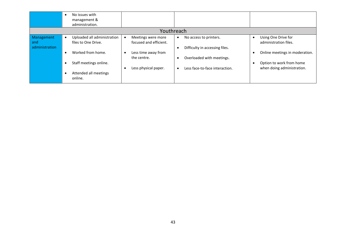|                                     | No issues with<br>management &<br>administration.  |                                              |                                                                 |                                                                     |
|-------------------------------------|----------------------------------------------------|----------------------------------------------|-----------------------------------------------------------------|---------------------------------------------------------------------|
|                                     |                                                    | Youthreach                                   |                                                                 |                                                                     |
| Management<br>and<br>administration | Uploaded all administration<br>files to One Drive. | Meetings were more<br>focused and efficient. | No access to printers.<br>Difficulty in accessing files.<br>- 4 | Using One Drive for<br>administration files.                        |
|                                     | Worked from home.                                  | Less time away from<br>the centre.           | Overloaded with meetings.                                       | Online meetings in moderation.                                      |
|                                     | Staff meetings online.                             | Less physical paper.                         | Less face-to-face interaction.                                  | Option to work from home<br>$\bullet$<br>when doing administration. |
|                                     | Attended all meetings<br>$\bullet$<br>online.      |                                              |                                                                 |                                                                     |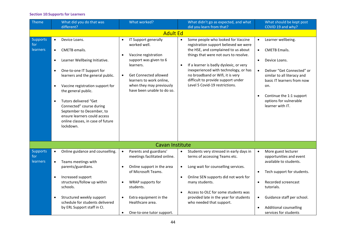#### **Section 10:Supports for Learners**

<span id="page-44-0"></span>

| <b>Theme</b>                       | What did you do that was                                                                                                                                                                                                                                                                                                                                                                                                                | What worked?                                                                                                                                                                                                                                                                              | What didn't go as expected, and what                                                                                                                                                                                                                                                                                                                                                  | What should be kept post                                                                                                                                                                                                                                                                                 |
|------------------------------------|-----------------------------------------------------------------------------------------------------------------------------------------------------------------------------------------------------------------------------------------------------------------------------------------------------------------------------------------------------------------------------------------------------------------------------------------|-------------------------------------------------------------------------------------------------------------------------------------------------------------------------------------------------------------------------------------------------------------------------------------------|---------------------------------------------------------------------------------------------------------------------------------------------------------------------------------------------------------------------------------------------------------------------------------------------------------------------------------------------------------------------------------------|----------------------------------------------------------------------------------------------------------------------------------------------------------------------------------------------------------------------------------------------------------------------------------------------------------|
|                                    | different?                                                                                                                                                                                                                                                                                                                                                                                                                              |                                                                                                                                                                                                                                                                                           | did you learn from that?                                                                                                                                                                                                                                                                                                                                                              | COVID 19 and why?                                                                                                                                                                                                                                                                                        |
|                                    |                                                                                                                                                                                                                                                                                                                                                                                                                                         | <b>Adult Ed</b>                                                                                                                                                                                                                                                                           |                                                                                                                                                                                                                                                                                                                                                                                       |                                                                                                                                                                                                                                                                                                          |
| <b>Supports</b><br>for<br>learners | Device Loans.<br>CMETB emails.<br>$\bullet$<br>Learner Wellbeing Initiative.<br>$\bullet$<br>One-to-one IT Support for<br>$\bullet$<br>learners and the general public.<br>Vaccine registration support for<br>$\bullet$<br>the general public.<br><b>Tutors delivered "Get</b><br>$\bullet$<br>Connected" course during<br>September to December, to<br>ensure learners could access<br>online classes, in case of future<br>lockdown. | IT Support generally<br>$\bullet$<br>worked well.<br>Vaccine registration<br>$\bullet$<br>support was given to 6<br>learners.<br>Get Connected allowed<br>$\bullet$<br>learners to work online,<br>when they may previously<br>have been unable to do so.                                 | Some people who looked for Vaccine<br>$\bullet$<br>registration support believed we were<br>the HSE, and complained to us about<br>things that were not ours to resolve.<br>If a learner is badly dyslexic, or very<br>$\bullet$<br>inexperienced with technology, or has<br>no broadband or Wifi, it is very<br>difficult to provide support under<br>Level 5 Covid-19 restrictions. | Learner wellbeing.<br>$\bullet$<br><b>CMETB Emails.</b><br>$\bullet$<br>Device Loans.<br>$\bullet$<br>Deliver "Get Connected" or<br>$\bullet$<br>similar to all literacy and<br>basic IT learners from now<br>on.<br>Continue the 1:1 support<br>$\bullet$<br>options for vulnerable<br>learner with IT. |
|                                    |                                                                                                                                                                                                                                                                                                                                                                                                                                         |                                                                                                                                                                                                                                                                                           |                                                                                                                                                                                                                                                                                                                                                                                       |                                                                                                                                                                                                                                                                                                          |
|                                    |                                                                                                                                                                                                                                                                                                                                                                                                                                         | <b>Cavan Institute</b>                                                                                                                                                                                                                                                                    |                                                                                                                                                                                                                                                                                                                                                                                       |                                                                                                                                                                                                                                                                                                          |
| <b>Supports</b><br>for<br>learners | Online guidance and counselling.<br>$\bullet$<br>Teams meetings with<br>$\bullet$<br>parents/guardians.<br>Increased support<br>$\bullet$<br>structures/follow up within<br>schools.<br>Structured weekly support<br>$\bullet$<br>schedule for students delivered<br>by ERL Support staff in Cl.                                                                                                                                        | Parents and guardians'<br>$\bullet$<br>meetings facilitated online.<br>Online support in the area<br>$\bullet$<br>of Microsoft Teams.<br>WRAP supports for<br>$\bullet$<br>students.<br>Extra equipment in the<br>$\bullet$<br>Healthcare area.<br>One-to-one tutor support.<br>$\bullet$ | Students very stressed in early days in<br>$\bullet$<br>terms of accessing Teams etc.<br>Long wait for counselling services.<br>$\bullet$<br>Online SEN supports did not work for<br>$\bullet$<br>many students.<br>Access to OLC for some students was<br>$\bullet$<br>provided late in the year for students<br>who needed that support.                                            | More guest lecturer<br>$\bullet$<br>opportunities and event<br>available to students.<br>Tech support for students.<br>$\bullet$<br>Recorded screencast<br>$\bullet$<br>tutorials.<br>Guidance staff per school.<br>$\bullet$<br>Additional counselling<br>$\bullet$<br>services for students            |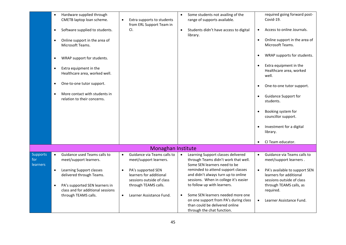|                                           | Hardware supplied through<br>$\bullet$<br>CMETB laptop loan scheme.<br>Software supplied to students.<br>Online support in the area of<br>Microsoft Teams.<br>WRAP support for students.<br>Extra equipment in the<br>$\bullet$<br>Healthcare area, worked well.<br>One-to-one tutor support.<br>$\bullet$<br>More contact with students in<br>$\bullet$<br>relation to their concerns. | Extra supports to students<br>from ERL Support Team in<br>CI.                                                                                                                                                                  | Some students not availing of the<br>$\bullet$<br>range of supports available.<br>Students didn't have access to digital<br>$\bullet$<br>library.                                                                                                                                                                                                                                                                          | required going forward post-<br>Covid-19.<br>Access to online Journals.<br>$\bullet$<br>Online support in the area of<br>$\bullet$<br>Microsoft Teams.<br>WRAP supports for students.<br>$\bullet$<br>Extra equipment in the<br>$\bullet$<br>Healthcare area, worked<br>well.<br>One-to-one tutor support.<br>$\bullet$<br><b>Guidance Support for</b><br>$\bullet$<br>students.<br>Booking system for<br>$\bullet$<br>councillor support.<br>Investment for a digital<br>$\bullet$<br>library. |
|-------------------------------------------|-----------------------------------------------------------------------------------------------------------------------------------------------------------------------------------------------------------------------------------------------------------------------------------------------------------------------------------------------------------------------------------------|--------------------------------------------------------------------------------------------------------------------------------------------------------------------------------------------------------------------------------|----------------------------------------------------------------------------------------------------------------------------------------------------------------------------------------------------------------------------------------------------------------------------------------------------------------------------------------------------------------------------------------------------------------------------|-------------------------------------------------------------------------------------------------------------------------------------------------------------------------------------------------------------------------------------------------------------------------------------------------------------------------------------------------------------------------------------------------------------------------------------------------------------------------------------------------|
|                                           |                                                                                                                                                                                                                                                                                                                                                                                         |                                                                                                                                                                                                                                |                                                                                                                                                                                                                                                                                                                                                                                                                            | CI Team educator.<br>$\bullet$                                                                                                                                                                                                                                                                                                                                                                                                                                                                  |
|                                           |                                                                                                                                                                                                                                                                                                                                                                                         | Monaghan Institute                                                                                                                                                                                                             |                                                                                                                                                                                                                                                                                                                                                                                                                            |                                                                                                                                                                                                                                                                                                                                                                                                                                                                                                 |
| <b>Supports</b><br>for<br><b>learners</b> | Guidance used Teams calls to<br>meet/support learners.<br>Learning Support classes<br>$\bullet$<br>delivered through Teams.<br>PA's supported SEN learners in<br>$\bullet$<br>class and for additional sessions<br>through TEAMS calls.                                                                                                                                                 | Guidance via Teams calls to<br>$\bullet$<br>meet/support learners.<br>PA's supported SEN<br>$\bullet$<br>learners for additional<br>sessions outside of class<br>through TEAMS calls.<br>Learner Assistance Fund.<br>$\bullet$ | Learning Support classes delivered<br>$\bullet$<br>through Teams didn't work that well.<br>Some SEN learners need to be<br>reminded to attend support classes<br>and didn't always turn up to online<br>sessions. When in college it's easier<br>to follow up with learners.<br>Some SEN learners needed more one<br>on one support from PA's during class<br>than could be delivered online<br>through the chat function. | Guidance via Teams calls to<br>$\bullet$<br>meet/support learners.<br>PA's available to support SEN<br>$\bullet$<br>learners for additional<br>sessions outside of class<br>through TEAMS calls, as<br>required.<br>Learner Assistance Fund.<br>$\bullet$                                                                                                                                                                                                                                       |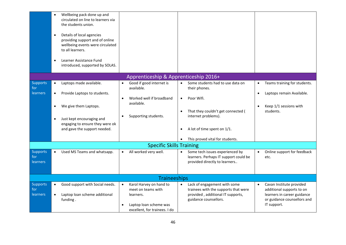|                                           | Wellbeing pack done up and<br>$\bullet$<br>circulated on line to learners via<br>the students union.                                                                                                                                 |                                                                                                                                                                       |                                                                                                                                                                                                                                                    |                                                                                                                                                 |
|-------------------------------------------|--------------------------------------------------------------------------------------------------------------------------------------------------------------------------------------------------------------------------------------|-----------------------------------------------------------------------------------------------------------------------------------------------------------------------|----------------------------------------------------------------------------------------------------------------------------------------------------------------------------------------------------------------------------------------------------|-------------------------------------------------------------------------------------------------------------------------------------------------|
|                                           | Details of local agencies<br>$\bullet$<br>providing support and of online<br>wellbeing events were circulated<br>to all learners.                                                                                                    |                                                                                                                                                                       |                                                                                                                                                                                                                                                    |                                                                                                                                                 |
|                                           | Learner Assistance Fund<br>$\bullet$<br>introduced, supported by SOLAS.                                                                                                                                                              |                                                                                                                                                                       |                                                                                                                                                                                                                                                    |                                                                                                                                                 |
|                                           |                                                                                                                                                                                                                                      | Apprenticeship & Apprenticeship 2016+                                                                                                                                 |                                                                                                                                                                                                                                                    |                                                                                                                                                 |
| <b>Supports</b><br>for<br><b>learners</b> | Laptops made available.<br>$\bullet$<br>Provide Laptops to students.<br>$\bullet$<br>We give them Laptops.<br>$\bullet$<br>Just kept encouraging and<br>$\bullet$<br>engaging to ensure they were ok<br>and gave the support needed. | Good if good internet is<br>$\bullet$<br>available.<br>Worked well if broadband<br>$\bullet$<br>available.<br>Supporting students.<br><b>Specific Skills Training</b> | Some students had to use data on<br>$\bullet$<br>their phones.<br>Poor Wifi.<br>$\bullet$<br>That they couldn't get connected (<br>$\bullet$<br>internet problems).<br>A lot of time spent on 1/1.<br>$\bullet$<br>This proved vital for students. | Teams training for students.<br>٠<br>Laptops remain Available.<br>$\bullet$<br>Keep 1/1 sessions with<br>$\bullet$<br>students.                 |
|                                           |                                                                                                                                                                                                                                      |                                                                                                                                                                       |                                                                                                                                                                                                                                                    |                                                                                                                                                 |
| Supports<br>for<br><b>learners</b>        | Used MS Teams and whatsapp.<br>$\bullet$                                                                                                                                                                                             | All worked very well.<br>$\bullet$                                                                                                                                    | Some tech issues experienced by<br>learners. Perhaps IT support could be<br>provided directly to learners                                                                                                                                          | Online support for feedback<br>$\bullet$<br>etc.                                                                                                |
|                                           |                                                                                                                                                                                                                                      | <b>Traineeships</b>                                                                                                                                                   |                                                                                                                                                                                                                                                    |                                                                                                                                                 |
| <b>Supports</b><br>for<br><b>learners</b> | Good support with Social needs.<br>$\bullet$<br>Laptop loan scheme additional<br>$\bullet$<br>funding.                                                                                                                               | Karol Harvey on hand to<br>$\bullet$<br>meet on teams with<br>learners.<br>Laptop loan scheme was<br>excellent, for trainees. I do                                    | Lack of engagement with some<br>$\bullet$<br>trainees with the supports that were<br>provided, additional IT supports,<br>guidance counsellors.                                                                                                    | Cavan Institute provided<br>$\bullet$<br>additional supports to on<br>learners in career guidance<br>or guidance counsellors and<br>IT support. |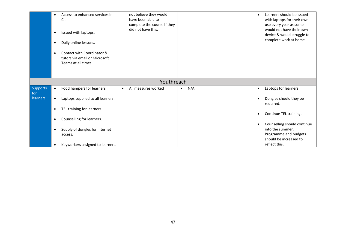|                                           | Access to enhanced services in<br>$\bullet$<br>CI.<br>Issued with laptops.<br>$\bullet$<br>Daily online lessons.<br>Contact with Coordinator &<br>$\bullet$<br>tutors via email or Microsoft<br>Teams at all times.                                                              | not believe they would<br>have been able to<br>complete the course if they<br>did not have this. |                      | Learners should be issued<br>$\bullet$<br>with laptops for their own<br>use every year as some<br>would not have their own<br>device & would struggle to<br>complete work at home.                                                                                |
|-------------------------------------------|----------------------------------------------------------------------------------------------------------------------------------------------------------------------------------------------------------------------------------------------------------------------------------|--------------------------------------------------------------------------------------------------|----------------------|-------------------------------------------------------------------------------------------------------------------------------------------------------------------------------------------------------------------------------------------------------------------|
|                                           |                                                                                                                                                                                                                                                                                  | Youthreach                                                                                       |                      |                                                                                                                                                                                                                                                                   |
| <b>Supports</b><br>for<br><b>learners</b> | Food hampers for learners<br>$\bullet$<br>Laptops supplied to all learners.<br>$\bullet$<br>TEL training for learners.<br>٠<br>Counselling for learners.<br>$\bullet$<br>Supply of dongles for internet<br>$\bullet$<br>access.<br>Keyworkers assigned to learners.<br>$\bullet$ | All measures worked<br>$\bullet$                                                                 | $N/A$ .<br>$\bullet$ | Laptops for learners.<br>$\bullet$<br>Dongles should they be<br>$\bullet$<br>required.<br>Continue TEL training.<br>$\bullet$<br>Counselling should continue<br>$\bullet$<br>into the summer.<br>Programme and budgets<br>should be increased to<br>reflect this. |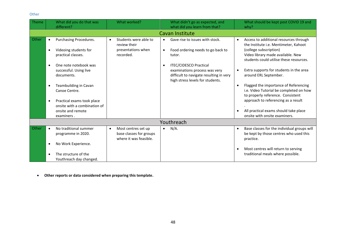#### Other

| <b>Theme</b> |           | What did you do that was                                   |           | What worked?                                                             |           | What didn't go as expected, and                                                                              |           | What should be kept post COVID 19 and                                                                                 |
|--------------|-----------|------------------------------------------------------------|-----------|--------------------------------------------------------------------------|-----------|--------------------------------------------------------------------------------------------------------------|-----------|-----------------------------------------------------------------------------------------------------------------------|
|              |           | different?                                                 |           |                                                                          |           | what did you learn from that?                                                                                |           | whv?                                                                                                                  |
|              |           |                                                            |           |                                                                          |           | Cavan Institute                                                                                              |           |                                                                                                                       |
| Other        | ٠         | Purchasing Procedures.                                     | $\bullet$ | Students were able to<br>review their                                    | $\bullet$ | Gave rise to issues with stock.                                                                              | $\bullet$ | Access to additional resources through<br>the Institute i.e. Mentimeter, Kahoot                                       |
|              | $\bullet$ | Videoing students for<br>practical classes.                |           | presentations when<br>recorded.                                          | $\bullet$ | Food ordering needs to go back to<br>tutor.                                                                  |           | (college subscription)<br>Video library made available. New<br>students could utilise these resources.                |
|              | $\bullet$ | One note notebook was                                      |           |                                                                          |           | <b>ITEC/CIDESCO Practical</b>                                                                                |           |                                                                                                                       |
|              |           | successful. Using live<br>documents.                       |           |                                                                          |           | examinations process was very<br>difficult to navigate resulting in very<br>high stress levels for students. |           | Extra supports for students in the area<br>around ERL September.                                                      |
|              | $\bullet$ | Teambuilding in Cavan<br>Canoe Centre.                     |           |                                                                          |           |                                                                                                              | $\bullet$ | Flagged the importance of Referencing<br>i.e. Video Tutorial be completed on how<br>to properly reference. Consistent |
|              | $\bullet$ | Practical exams took place<br>onsite with a combination of |           |                                                                          |           |                                                                                                              |           | approach to referencing as a result                                                                                   |
|              |           | onsite and remote<br>examiners.                            |           |                                                                          |           |                                                                                                              | $\bullet$ | All practical exams should take place<br>onsite with onsite examiners.                                                |
|              |           |                                                            |           |                                                                          |           | Youthreach                                                                                                   |           |                                                                                                                       |
| Other        | $\bullet$ | No traditional summer<br>programme in 2020.                | $\bullet$ | Most centres set up<br>base classes for groups<br>where it was feasible. | $\bullet$ | $N/A$ .                                                                                                      | $\bullet$ | Base classes for the individual groups will<br>be kept by those centres who used this<br>practice.                    |
|              | ٠         | No Work Experience.                                        |           |                                                                          |           |                                                                                                              |           | Most centres will return to serving                                                                                   |
|              |           | The structure of the                                       |           |                                                                          |           |                                                                                                              |           | traditional meals where possible.                                                                                     |
|              |           | Youthreach day changed.                                    |           |                                                                          |           |                                                                                                              |           |                                                                                                                       |

<span id="page-48-0"></span>• **Other reports or data considered when preparing this template.**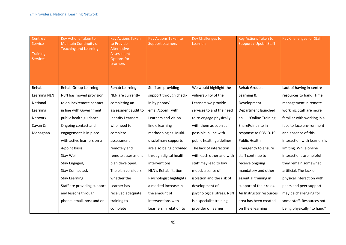<span id="page-49-0"></span>

| Centre /<br><b>Service</b><br><b>Training</b><br><b>Services</b> | <b>Key Actions Taken to</b><br><b>Maintain Continuity of</b><br><b>Teaching and Learning</b> | <b>Key Actions Taken</b><br>to Provide<br>Alternative<br>Assessment<br><b>Options for</b><br><b>Learners</b> | Key Actions Taken to<br><b>Support Learners</b> | <b>Key Challenges for</b><br>Learners | <b>Key Actions Taken to</b><br>Support / Upskill Staff | Key Challenges for Staff     |
|------------------------------------------------------------------|----------------------------------------------------------------------------------------------|--------------------------------------------------------------------------------------------------------------|-------------------------------------------------|---------------------------------------|--------------------------------------------------------|------------------------------|
| Rehab                                                            | <b>Rehab Group Learning</b>                                                                  | Rehab Learning                                                                                               | Staff are providing                             | We would highlight the                | Rehab Group's                                          | Lack of having in-centre     |
| <b>Learning NLN</b>                                              | NLN has moved provision                                                                      | NLN are currently                                                                                            | support through check-                          | vulnerability of the                  | Learning &                                             | resources to hand. Time      |
| National                                                         | to online/remote contact                                                                     | completing an                                                                                                | in by phone/                                    | Learners we provide                   | Development                                            | management in remote         |
| Learning                                                         | in line with Government                                                                      | assessment audit to                                                                                          | email/zoom with                                 | services to and the need              | Department launched                                    | working. Staff are more      |
| Network                                                          | public health guidance.                                                                      | identify Learners                                                                                            | Learners and via on                             | to re-engage physically               | "Online Training"<br>an                                | familiar with working in a   |
| Cavan &                                                          | Ongoing contact and                                                                          | who need to                                                                                                  | line e learning                                 | with them as soon as                  | SharePoint site in                                     | face to face environment     |
| Monaghan                                                         | engagement is in place                                                                       | complete                                                                                                     | methodologies. Multi-                           | possible in line with                 | response to COVID-19                                   | and absence of this          |
|                                                                  | with active learners on a                                                                    | assessment                                                                                                   | disciplinary supports                           | public health guidelines.             | <b>Public Health</b>                                   | interaction with learners is |
|                                                                  | 4-point basis:                                                                               | remotely and                                                                                                 | are also being provided                         | The lack of interaction               | Emergency to ensure                                    | limiting. While online       |
|                                                                  | Stay Well                                                                                    | remote assessment                                                                                            | through digital health                          | with each other and with              | staff continue to                                      | interactions are helpful     |
|                                                                  | Stay Engaged,                                                                                | plan developed.                                                                                              | interventions.                                  | staff may lead to low                 | receive ongoing                                        | they remain somewhat         |
|                                                                  | Stay Connected,                                                                              | The plan considers                                                                                           | NLN's Rehabilitation                            | mood, a sense of                      | mandatory and other                                    | artificial. The lack of      |
|                                                                  | Stay Learning.                                                                               | whether the                                                                                                  | Psychologist highlights                         | isolation and the risk of             | essential training in                                  | physical interaction with    |
|                                                                  | Staff are providing support                                                                  | Learner has                                                                                                  | a marked increase in                            | development of                        | support of their roles.                                | peers and peer support       |
|                                                                  | and lessons through                                                                          | received adequate                                                                                            | the amount of                                   | psychological stress. NLN             | An Instructor resources                                | may be challenging for       |
|                                                                  | phone, email, post and on                                                                    | training to                                                                                                  | interventions with                              | is a specialist training              | area has been created                                  | some staff. Resources not    |
|                                                                  |                                                                                              | complete                                                                                                     | Learners in relation to                         | provider of learner                   | on the e learning                                      | being physically "to hand"   |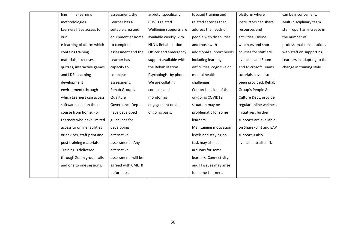| e-learning<br>line          | assessment, the     | anxiety, specifically  | focused training and       | platform where          | can be inconvenient.        |
|-----------------------------|---------------------|------------------------|----------------------------|-------------------------|-----------------------------|
| methodologies.              | Learner has a       | COVID related.         | related services that      | Instructors can share   | Multi-disciplinary team     |
| Learners have access to     | suitable area and   | Wellbeing supports are | address the needs of       | resources and           | staff report an increase in |
| our                         | equipment at home   | available weekly with  | people with disabilities   | activities. Online      | the number of               |
| e-learning platform which   | to complete         | NLN's Rehabilitation   | and those with             | webinars and short      | professional consultations  |
| contains training           | assessment and the  | Officer and emergency  | additional support needs   | courses for staff are   | with staff on supporting    |
| materials, exercises,       | Learner has         | support available with | including learning         | available and Zoom      | Learners in adapting to the |
| quizzes, interactive games  | capacity to         | the Rehabilitation     | difficulties, cognitive or | and Microsoft Teams     | change in training style.   |
| and LDE (Learning           | complete            | Psychologist by phone. | mental health              | tutorials have also     |                             |
| development                 | assessment.         | We are collating       | challenges.                | been provided. Rehab    |                             |
| environment) through        | Rehab Group's       | contacts and           | Comprehension of the       | Group's People &        |                             |
| which Learners can access   | Quality &           | monitoring             | on-going COVID19           | Culture Dept. provide   |                             |
| software used on their      | Governance Dept.    | engagement on an       | situation may be           | regular online wellness |                             |
| course from home. For       | have developed      | ongoing basis.         | problematic for some       | initiatives, further    |                             |
| Learners who have limited   | guidelines for      |                        | learners.                  | supports are available  |                             |
| access to online facilities | developing          |                        | Maintaining motivation     | on SharePoint and EAP   |                             |
| or devices, staff print and | alternative         |                        | levels and staying on      | support is also         |                             |
| post training materials.    | assessments. Any    |                        | task may also be           | available to all staff. |                             |
| Training is delivered       | alternative         |                        | arduous for some           |                         |                             |
| through Zoom group calls    | assessments will be |                        | learners. Connectivity     |                         |                             |
| and one to one sessions.    | agreed with CMETB   |                        | and IT issues may arise    |                         |                             |
|                             | before use.         |                        | for some Learners.         |                         |                             |
|                             |                     |                        |                            |                         |                             |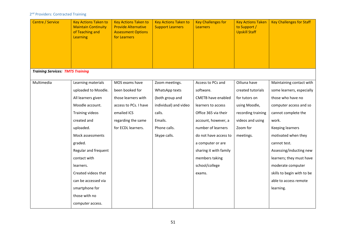#### 2<sup>nd</sup> Providers: Contracted Training

<span id="page-51-0"></span>

| <b>Centre / Service</b>                 | <b>Key Actions Taken to</b><br><b>Maintain Continuity</b><br>of Teaching and<br><b>Learning</b> | <b>Key Actions Taken to</b><br><b>Provide Alternative</b><br><b>Assessment Options</b><br>for Learners | <b>Key Actions Taken to</b><br><b>Support Learners</b> | <b>Key Challenges for</b><br><b>Learners</b> | <b>Key Actions Taken</b><br>to Support /<br><b>Upskill Staff</b> | <b>Key Challenges for Staff</b> |
|-----------------------------------------|-------------------------------------------------------------------------------------------------|--------------------------------------------------------------------------------------------------------|--------------------------------------------------------|----------------------------------------------|------------------------------------------------------------------|---------------------------------|
| <b>Training Services: TMTS Training</b> |                                                                                                 |                                                                                                        |                                                        |                                              |                                                                  |                                 |
| Multimedia                              | Learning materials                                                                              | MOS exams have                                                                                         | Zoom meetings.                                         | Access to PCs and                            | Oiliuna have                                                     | Maintaining contact with        |
|                                         | uploaded to Moodle.                                                                             | been booked for                                                                                        | WhatsApp texts                                         | software.                                    | created tutorials                                                | some learners, especially       |
|                                         | All learners given                                                                              | those learners with                                                                                    | (both group and                                        | <b>CMETB have enabled</b>                    | for tutors on                                                    | those who have no               |
|                                         | Moodle account.                                                                                 | access to PCs. I have                                                                                  | individual) and video                                  | learners to access                           | using Moodle,                                                    | computer access and so          |
|                                         | Training videos                                                                                 | emailed ICS                                                                                            | calls.                                                 | Office 365 via their                         | recording training                                               | cannot complete the             |
|                                         | created and                                                                                     | regarding the same                                                                                     | Emails.                                                | account, however, a                          | videos and using                                                 | work.                           |
|                                         | uploaded.                                                                                       | for ECDL learners.                                                                                     | Phone calls.                                           | number of learners                           | Zoom for                                                         | Keeping learners                |
|                                         | Mock assessments                                                                                |                                                                                                        | Skype calls.                                           | do not have access to                        | meetings.                                                        | motivated when they             |
|                                         | graded.                                                                                         |                                                                                                        |                                                        | a computer or are                            |                                                                  | cannot test.                    |
|                                         | Regular and frequent                                                                            |                                                                                                        |                                                        | sharing it with family                       |                                                                  | Assessing/inducting new         |
|                                         | contact with                                                                                    |                                                                                                        |                                                        | members taking                               |                                                                  | learners; they must have        |
|                                         | learners.                                                                                       |                                                                                                        |                                                        | school/college                               |                                                                  | moderate computer               |
|                                         | Created videos that                                                                             |                                                                                                        |                                                        | exams.                                       |                                                                  | skills to begin with to be      |
|                                         | can be accessed via                                                                             |                                                                                                        |                                                        |                                              |                                                                  | able to access remote           |
|                                         | smartphone for                                                                                  |                                                                                                        |                                                        |                                              |                                                                  | learning.                       |
|                                         | those with no                                                                                   |                                                                                                        |                                                        |                                              |                                                                  |                                 |
|                                         | computer access.                                                                                |                                                                                                        |                                                        |                                              |                                                                  |                                 |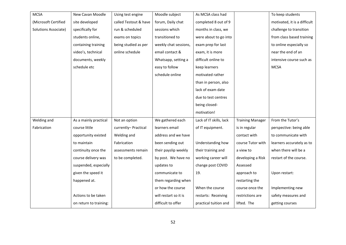| <b>MCSA</b>          | New Cavan Moodle       | Using test engine     | Moodle subject        | As MCSA class had       |                         | To keep students             |
|----------------------|------------------------|-----------------------|-----------------------|-------------------------|-------------------------|------------------------------|
| (Microsoft Certified | site developed         | called Testout & have | forum, Daily chat     | completed 8 out of 9    |                         | motivated, it is a difficult |
| Solutions Associate) | specifically for       | run & scheduled       | sessions which        | months in class, we     |                         | challenge to transition      |
|                      | students online,       | exams on topics       | transitioned to       | were about to go into   |                         | from class based training    |
|                      | containing training    | being studied as per  | weekly chat sessions, | exam prep for last      |                         | to online especially so      |
|                      | video's, technical     | online schedule       | email contact &       | exam, it is more        |                         | near the end of an           |
|                      | documents, weekly      |                       | Whatsapp, setting a   | difficult online to     |                         | intensive course such as     |
|                      | schedule etc           |                       | easy to follow        | keep learners           |                         | <b>MCSA</b>                  |
|                      |                        |                       | schedule online       | motivated rather        |                         |                              |
|                      |                        |                       |                       | than in person, also    |                         |                              |
|                      |                        |                       |                       | lack of exam date       |                         |                              |
|                      |                        |                       |                       | due to test centres     |                         |                              |
|                      |                        |                       |                       | being closed-           |                         |                              |
|                      |                        |                       |                       | motivation!             |                         |                              |
| Welding and          | As a mainly practical  | Not an option         | We gathered each      | Lack of IT skills, lack | <b>Training Manager</b> | From the Tutor's             |
| Fabrication          | course little          | currently- Practical  | learners email        | of IT equipment.        | is in regular           | perspective: being able      |
|                      | opportunity existed    | Welding and           | address and we have   |                         | contact with            | to communicate with          |
|                      | to maintain            | Fabrication           | been sending out      | Understanding how       | course Tutor with       | learners accurately as to    |
|                      | continuity once the    | assessments remain    | their payslip weekly  | their training and      | a view to               | when there will be a         |
|                      | course delivery was    | to be completed.      | by post. We have no   | working career will     | developing a Risk       | restart of the course.       |
|                      | suspended, especially  |                       | updates to            | change post COVID       | Assessed                |                              |
|                      | given the speed it     |                       | communicate to        | 19.                     | approach to             | Upon restart:                |
|                      | happened at.           |                       | them regarding when   |                         | restarting the          |                              |
|                      |                        |                       | or how the course     | When the course         | course once the         | Implementing new             |
|                      | Actions to be taken    |                       | will restart so it is | restarts: Receiving     | restrictions are        | safety measures and          |
|                      | on return to training: |                       | difficult to offer    | practical tuition and   | lifted. The             | getting courses              |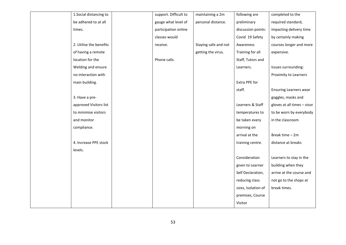| 1. Social distancing to | support. Difficult to | maintaining a 2m     | following are       | completed to the              |
|-------------------------|-----------------------|----------------------|---------------------|-------------------------------|
| be adhered to at all    | gauge what level of   | personal distance.   | preliminary         | required standard,            |
| times.                  | participation online  |                      | discussion points:  | impacting delivery time       |
|                         | classes would         |                      | Covid 19 Safety     | by certainly making           |
| 2. Utilise the benefits | receive.              | Staying safe and not | Awareness           | courses longer and more       |
| of having a remote      |                       | getting the virus.   | Training for all    | expensive.                    |
| location for the        | Phone calls.          |                      | Staff, Tutors and   |                               |
| Welding and ensure      |                       |                      | Learners.           | Issues surrounding:           |
| no interaction with     |                       |                      |                     | Proximity to Learners         |
| main building.          |                       |                      | Extra PPE for       |                               |
|                         |                       |                      | staff.              | <b>Ensuring Learners wear</b> |
| 3. Have a pre-          |                       |                      |                     | goggles, masks and            |
| approved Visitors list  |                       |                      | Learners & Staff    | gloves at all times - visor   |
| to minimise visitors    |                       |                      | temperatures to     | to be worn by everybody       |
| and monitor             |                       |                      | be taken every      | in the classroom              |
| compliance.             |                       |                      | morning on          |                               |
|                         |                       |                      | arrival at the      | Break time - 2m               |
| 4. Increase PPE stock   |                       |                      | training centre.    | distance at breaks            |
| levels.                 |                       |                      |                     |                               |
|                         |                       |                      | Consideration       | Learners to stay in the       |
|                         |                       |                      | given to Learner    | building when they            |
|                         |                       |                      | Self Declaration,   | arrive at the course and      |
|                         |                       |                      | reducing class      | not go to the shops at        |
|                         |                       |                      | sizes, Isolation of | break times.                  |
|                         |                       |                      | premises, Course    |                               |
|                         |                       |                      | Visitor             |                               |
|                         |                       |                      |                     |                               |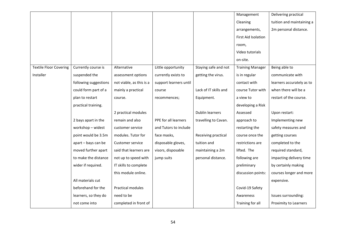|                               |                       |                          |                        |                        | Management              | Delivering practical      |
|-------------------------------|-----------------------|--------------------------|------------------------|------------------------|-------------------------|---------------------------|
|                               |                       |                          |                        |                        | Cleaning                | tuition and maintaining a |
|                               |                       |                          |                        |                        | arrangements,           | 2m personal distance.     |
|                               |                       |                          |                        |                        | First Aid Isolation     |                           |
|                               |                       |                          |                        |                        | room,                   |                           |
|                               |                       |                          |                        |                        | Video tutorials         |                           |
|                               |                       |                          |                        |                        | on-site.                |                           |
| <b>Textile Floor Covering</b> | Currently course is   | Alternative              | Little opportunity     | Staying safe and not   | <b>Training Manager</b> | Being able to             |
| Installer                     | suspended the         | assessment options       | currently exists to    | getting the virus.     | is in regular           | communicate with          |
|                               | following suggestions | not viable, as this is a | support learners until |                        | contact with            | learners accurately as to |
|                               | could form part of a  | mainly a practical       | course                 | Lack of IT skills and  | course Tutor with       | when there will be a      |
|                               | plan to restart       | course.                  | recommences;           | Equipment.             | a view to               | restart of the course.    |
|                               | practical training.   |                          |                        |                        | developing a Risk       |                           |
|                               |                       | 2 practical modules      |                        | <b>Dublin learners</b> | Assessed                | Upon restart:             |
|                               | 2 bays apart in the   | remain and also          | PPE for all learners   | travelling to Cavan.   | approach to             | Implementing new          |
|                               | workshop - widest     | customer service         | and Tutors to include  |                        | restarting the          | safety measures and       |
|                               | point would be 3.5m   | modules. Tutor for       | face masks,            | Receiving practical    | course once the         | getting courses           |
|                               | apart - bays can be   | Customer service         | disposable gloves,     | tuition and            | restrictions are        | completed to the          |
|                               | moved further apart   | said that learners are   | visors, disposable     | maintaining a 2m       | lifted. The             | required standard,        |
|                               | to make the distance  | not up to speed with     | jump suits             | personal distance.     | following are           | impacting delivery time   |
|                               | wider if required.    | IT skills to complete    |                        |                        | preliminary             | by certainly making       |
|                               |                       | this module online.      |                        |                        | discussion points:      | courses longer and more   |
|                               | All materials cut     |                          |                        |                        |                         | expensive.                |
|                               | beforehand for the    | <b>Practical modules</b> |                        |                        | Covid-19 Safety         |                           |
|                               | learners, so they do  | need to be               |                        |                        | Awareness               | Issues surrounding:       |
|                               | not come into         | completed in front of    |                        |                        | Training for all        | Proximity to Learners     |